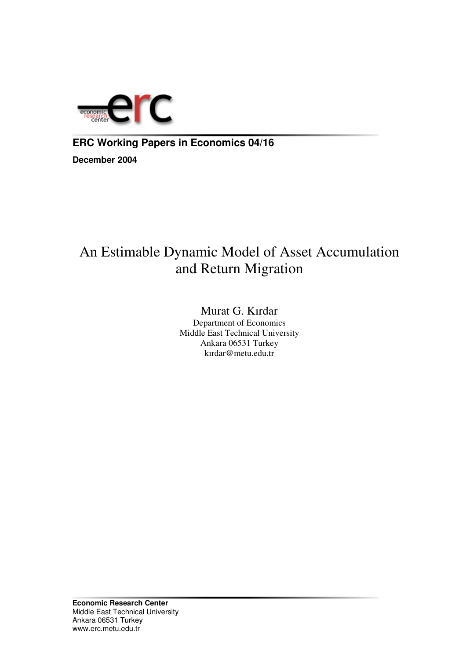

### **ERC Working Papers in Economics 04/16**

**December 2004**

# An Estimable Dynamic Model of Asset Accumulation and Return Migration

Murat G. Kırdar Department of Economics Middle East Technical University Ankara 06531 Turkey kırdar@metu.edu.tr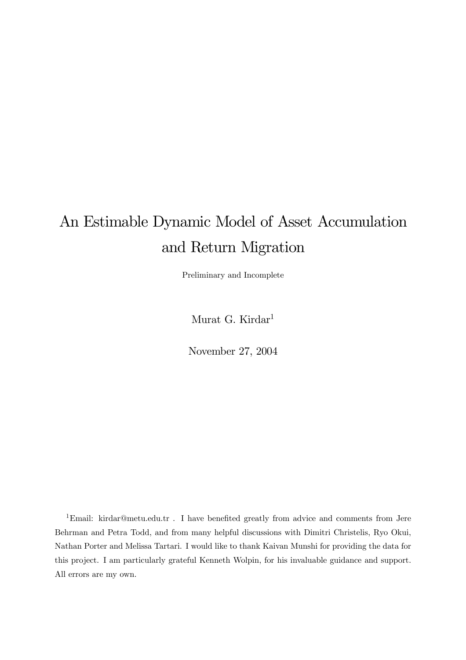# An Estimable Dynamic Model of Asset Accumulation and Return Migration

Preliminary and Incomplete

Murat G. Kirdar 1

November 27, 2004

<sup>1</sup>Email: kirdar@metu.edu.tr . I have benefited greatly from advice and comments from Jere Behrman and Petra Todd, and from many helpful discussions with Dimitri Christelis, Ryo Okui, Nathan Porter and Melissa Tartari. I would like to thank Kaivan Munshi for providing the data for this project. I am particularly grateful Kenneth Wolpin, for his invaluable guidance and support. All errors are my own.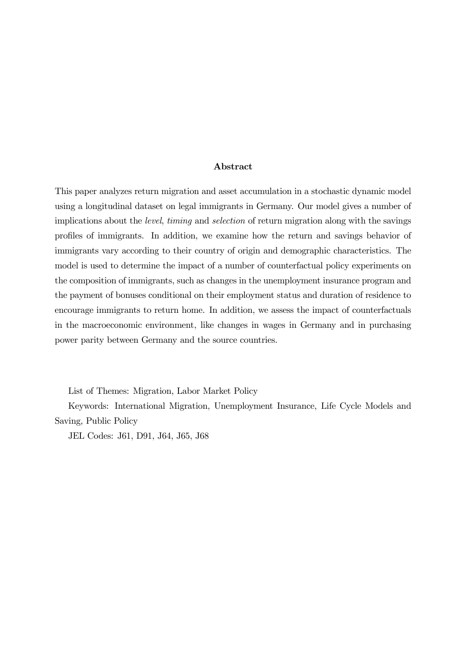#### Abstract

This paper analyzes return migration and asset accumulation in a stochastic dynamic model using a longitudinal dataset on legal immigrants in Germany. Our model gives a number of implications about the level, timing and selection of return migration along with the savings profiles of immigrants. In addition, we examine how the return and savings behavior of immigrants vary according to their country of origin and demographic characteristics. The model is used to determine the impact of a number of counterfactual policy experiments on the composition of immigrants, such as changes in the unemployment insurance program and the payment of bonuses conditional on their employment status and duration of residence to encourage immigrants to return home. In addition, we assess the impact of counterfactuals in the macroeconomic environment, like changes in wages in Germany and in purchasing power parity between Germany and the source countries.

List of Themes: Migration, Labor Market Policy

Keywords: International Migration, Unemployment Insurance, Life Cycle Models and Saving, Public Policy

JEL Codes: J61, D91, J64, J65, J68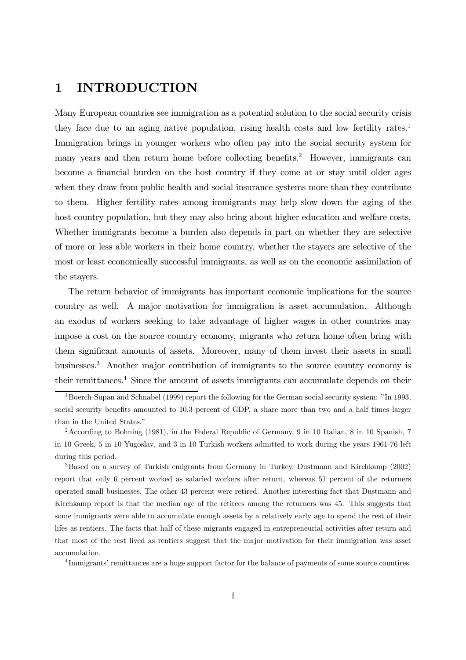### 1 INTRODUCTION

Many European countries see immigration as a potential solution to the social security crisis they face due to an aging native population, rising health costs and low fertility rates. 1 Immigration brings in younger workers who often pay into the social security system for many years and then return home before collecting benefits. <sup>2</sup> However, immigrants can become a financial burden on the host country if they come at or stay until older ages when they draw from public health and social insurance systems more than they contribute to them. Higher fertility rates among immigrants may help slow down the aging of the host country population, but they may also bring about higher education and welfare costs. Whether immigrants become a burden also depends in part on whether they are selective of more or less able workers in their home country, whether the stayers are selective of the most or least economically successful immigrants, as well as on the economic assimilation of the stayers.

The return behavior of immigrants has important economic implications for the source country as well. A major motivation for immigration is asset accumulation. Although an exodus of workers seeking to take advantage of higher wages in other countries may impose a cost on the source country economy, migrants who return home often bring with them significant amounts of assets. Moreover, many of them invest their assets in small businesses. <sup>3</sup> Another major contribution of immigrants to the source country economy is their remittances. <sup>4</sup> Since the amount of assets immigrants can accumulate depends on their

<sup>3</sup>Based on a survey of Turkish emigrants from Germany in Turkey, Dustmann and Kirchkamp (2002) report that only 6 percent worked as salaried workers after return, whereas 51 percent of the returners operated small businesses. The other 43 percent were retired. Another interesting fact that Dustmann and Kirchkamp report is that the median age of the retirees among the returners was 45. This suggests that some immigrants were able to accumulate enough assets by a relatively early age to spend the rest of their lifes as rentiers. The facts that half of these migrants engaged in entrepreneurial activities after return and that most of the rest lived as rentiers suggest that the major motivation for their immigration was asset accumulation.

<sup>4</sup>Immigrants' remittances are a huge support factor for the balance of payments of some source countires.

<sup>&</sup>lt;sup>1</sup>Boerch-Supan and Schnabel (1999) report the following for the German social security system:  $"In 1993$ , social security benefits amounted to 10.3 percent of GDP, a share more than two and a half times larger than in the United States."

<sup>&</sup>lt;sup>2</sup> According to Bohning (1981), in the Federal Republic of Germany, 9 in 10 Italian, 8 in 10 Spanish, 7 in 10 Greek, 5 in 10 Yugoslav, and 3 in 10 Turkish workers admitted to work during the years 1961-76 left during this period.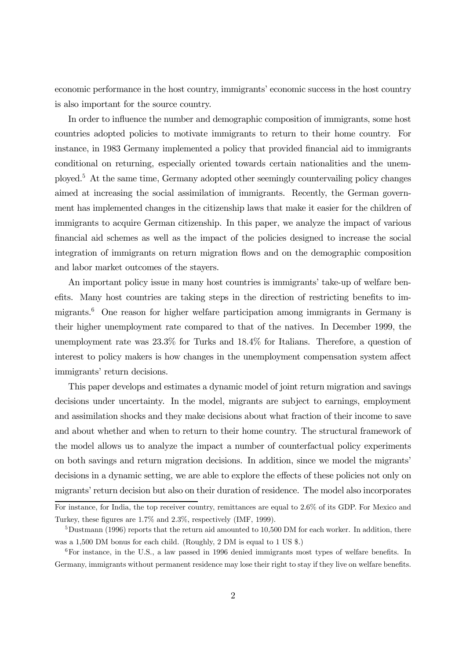economic performance in the host country, immigrants' economic success in the host country is also important for the source country.

In order to influence the number and demographic composition of immigrants, some host countries adopted policies to motivate immigrants to return to their home country. For instance, in 1983 Germany implemented a policy that provided financial aid to immigrants conditional on returning, especially oriented towards certain nationalities and the unemployed. <sup>5</sup> At the same time, Germany adopted other seemingly countervailing policy changes aimed at increasing the social assimilation of immigrants. Recently, the German government has implemented changes in the citizenship laws that make it easier for the children of immigrants to acquire German citizenship. In this paper, we analyze the impact of various financial aid schemes as well as the impact of the policies designed to increase the social integration of immigrants on return migration flows and on the demographic composition and labor market outcomes of the stayers.

An important policy issue in many host countries is immigrants' take-up of welfare benefits. Many host countries are taking steps in the direction of restricting benefits to immigrants. <sup>6</sup> One reason for higher welfare participation among immigrants in Germany is their higher unemployment rate compared to that of the natives. In December 1999, the unemployment rate was 23.3% for Turks and 18.4% for Italians. Therefore, a question of interest to policy makers is how changes in the unemployment compensation system affect immigrants' return decisions.

This paper develops and estimates a dynamic model of joint return migration and savings decisions under uncertainty. In the model, migrants are subject to earnings, employment and assimilation shocks and they make decisions about what fraction of their income to save and about whether and when to return to their home country. The structural framework of the model allows us to analyze the impact a number of counterfactual policy experiments on both savings and return migration decisions. In addition, since we model the migrants' decisions in a dynamic setting, we are able to explore the effects of these policies not only on migrants' return decision but also on their duration of residence. The model also incorporates

For instance, for India, the top receiver country, remittances are equal to 2.6% of its GDP. For Mexico and Turkey, these figures are 1.7% and 2.3%, respectively (IMF, 1999).

<sup>&</sup>lt;sup>5</sup>Dustmann (1996) reports that the return aid amounted to 10,500 DM for each worker. In addition, there was a 1,500 DM bonus for each child. (Roughly, 2 DM is equal to 1 US \$.)

<sup>6</sup>For instance, in the U.S., a law passed in 1996 denied immigrants most types of welfare benefits. In Germany, immigrants without permanent residence may lose their right to stay if they live on welfare benefits.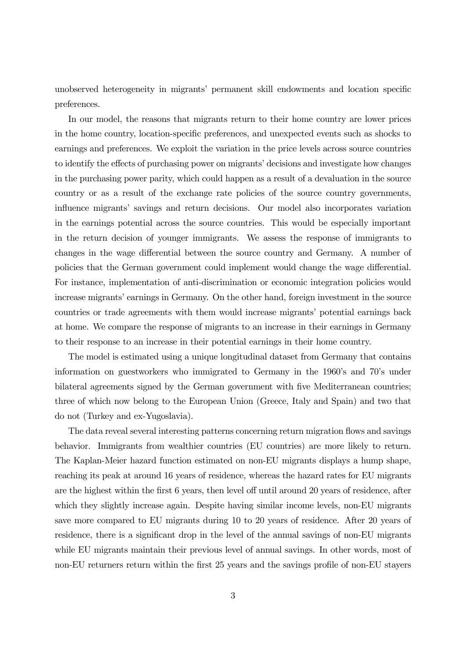unobserved heterogeneity in migrants' permanent skill endowments and location specific preferences.

In our model, the reasons that migrants return to their home country are lower prices in the home country, location-specific preferences, and unexpected events such as shocks to earnings and preferences. We exploit the variation in the price levels across source countries to identify the effects of purchasing power on migrants' decisions and investigate how changes in the purchasing power parity, which could happen as a result of a devaluation in the source country or as a result of the exchange rate policies of the source country governments, influence migrants' savings and return decisions. Our model also incorporates variation in the earnings potential across the source countries. This would be especially important in the return decision of younger immigrants. We assess the response of immigrants to changes in the wage differential between the source country and Germany. A number of policies that the German government could implement would change the wage differential. For instance, implementation of anti-discrimination or economic integration policies would increase migrants' earnings in Germany. On the other hand, foreign investment in the source countries or trade agreements with them would increase migrants' potential earnings back at home. We compare the response of migrants to an increase in their earnings in Germany to their response to an increase in their potential earnings in their home country.

The model is estimated using a unique longitudinal dataset from Germany that contains information on guestworkers who immigrated to Germany in the 1960's and 70's under bilateral agreements signed by the German government with five Mediterranean countries; three of which now belong to the European Union (Greece, Italy and Spain) and two that do not (Turkey and ex-Yugoslavia).

The data reveal several interesting patterns concerning return migration flows and savings behavior. Immigrants from wealthier countries (EU countries) are more likely to return. The Kaplan-Meier hazard function estimated on non-EU migrants displays a hump shape, reaching its peak at around 16 years of residence, whereas the hazard rates for EU migrants are the highest within the first 6 years, then level off until around 20 years of residence, after which they slightly increase again. Despite having similar income levels, non-EU migrants save more compared to EU migrants during 10 to 20 years of residence. After 20 years of residence, there is a significant drop in the level of the annual savings of non-EU migrants while EU migrants maintain their previous level of annual savings. In other words, most of non-EU returners return within the first 25 years and the savings profile of non-EU stayers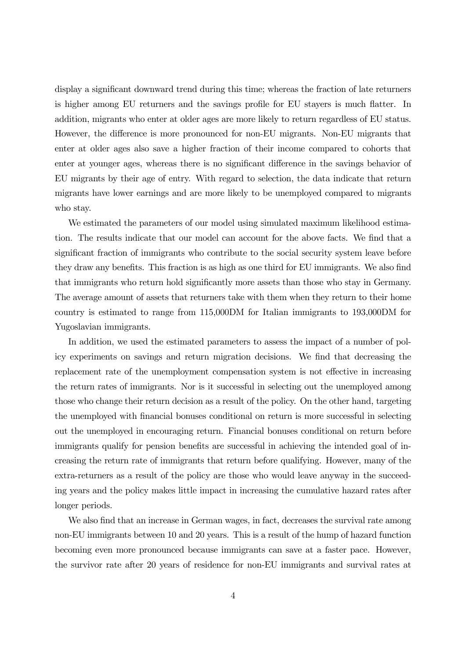display a significant downward trend during this time; whereas the fraction of late returners is higher among EU returners and the savings profile for EU stayers is much flatter. In addition, migrants who enter at older ages are more likely to return regardless of EU status. However, the difference is more pronounced for non-EU migrants. Non-EU migrants that enter at older ages also save a higher fraction of their income compared to cohorts that enter at younger ages, whereas there is no significant difference in the savings behavior of EU migrants by their age of entry. With regard to selection, the data indicate that return migrants have lower earnings and are more likely to be unemployed compared to migrants who stay.

We estimated the parameters of our model using simulated maximum likelihood estimation. The results indicate that our model can account for the above facts. We find that a significant fraction of immigrants who contribute to the social security system leave before they draw any benefits. This fraction is as high as one third for EU immigrants. We also find that immigrants who return hold significantly more assets than those who stay in Germany. The average amount of assets that returners take with them when they return to their home country is estimated to range from 115,000DM for Italian immigrants to 193,000DM for Yugoslavian immigrants.

In addition, we used the estimated parameters to assess the impact of a number of policy experiments on savings and return migration decisions. We find that decreasing the replacement rate of the unemployment compensation system is not effective in increasing the return rates of immigrants. Nor is it successful in selecting out the unemployed among those who change their return decision as a result of the policy. On the other hand, targeting the unemployed with financial bonuses conditional on return is more successful in selecting out the unemployed in encouraging return. Financial bonuses conditional on return before immigrants qualify for pension benefits are successful in achieving the intended goal of increasing the return rate of immigrants that return before qualifying. However, many of the extra-returners as a result of the policy are those who would leave anyway in the succeeding years and the policy makes little impact in increasing the cumulative hazard rates after longer periods.

We also find that an increase in German wages, in fact, decreases the survival rate among non-EU immigrants between 10 and 20 years. This is a result of the hump of hazard function becoming even more pronounced because immigrants can save at a faster pace. However, the survivor rate after 20 years of residence for non-EU immigrants and survival rates at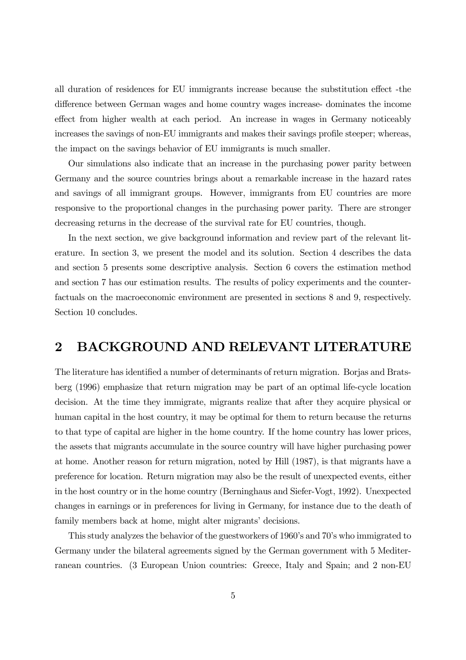all duration of residences for EU immigrants increase because the substitution effect -the difference between German wages and home country wages increase- dominates the income effect from higher wealth at each period. An increase in wages in Germany noticeably increases the savings of non-EU immigrants and makes their savings profile steeper; whereas, the impact on the savings behavior of EU immigrants is much smaller.

Our simulations also indicate that an increase in the purchasing power parity between Germany and the source countries brings about a remarkable increase in the hazard rates and savings of all immigrant groups. However, immigrants from EU countries are more responsive to the proportional changes in the purchasing power parity. There are stronger decreasing returns in the decrease of the survival rate for EU countries, though.

In the next section, we give background information and review part of the relevant literature. In section 3, we present the model and its solution. Section 4 describes the data and section 5 presents some descriptive analysis. Section 6 covers the estimation method and section 7 has our estimation results. The results of policy experiments and the counterfactuals on the macroeconomic environment are presented in sections 8 and 9, respectively. Section 10 concludes.

### 2 BACKGROUND AND RELEVANT LITERATURE

The literature has identified a number of determinants of return migration. Borjas and Bratsberg (1996) emphasize that return migration may be part of an optimal life-cycle location decision. At the time they immigrate, migrants realize that after they acquire physical or human capital in the host country, it may be optimal for them to return because the returns to that type of capital are higher in the home country. If the home country has lower prices, the assets that migrants accumulate in the source country will have higher purchasing power at home. Another reason for return migration, noted by Hill (1987), is that migrants have a preference for location. Return migration may also be the result of unexpected events, either in the host country or in the home country (Berninghaus and Siefer-Vogt, 1992). Unexpected changes in earnings or in preferences for living in Germany, for instance due to the death of family members back at home, might alter migrants' decisions.

This study analyzes the behavior of the guestworkers of 1960's and 70's who immigrated to Germany under the bilateral agreements signed by the German government with 5 Mediterranean countries. (3 European Union countries: Greece, Italy and Spain; and 2 non-EU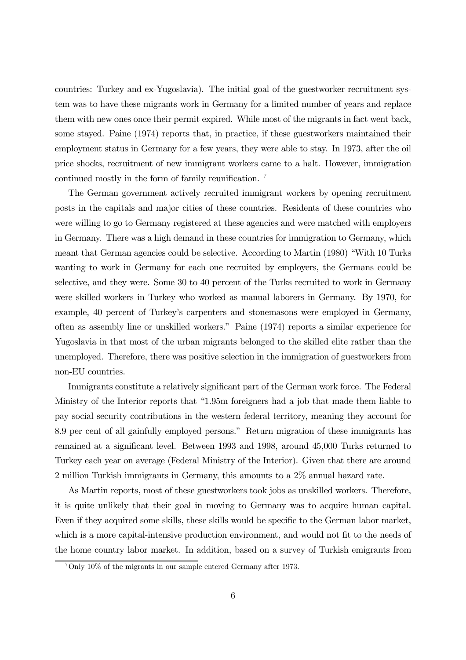countries: Turkey and ex-Yugoslavia). The initial goal of the guestworker recruitment system was to have these migrants work in Germany for a limited number of years and replace them with new ones once their permit expired. While most of the migrants in fact went back, some stayed. Paine (1974) reports that, in practice, if these guestworkers maintained their employment status in Germany for a few years, they were able to stay. In 1973, after the oil price shocks, recruitment of new immigrant workers came to a halt. However, immigration continued mostly in the form of family reunification. 7

The German government actively recruited immigrant workers by opening recruitment posts in the capitals and major cities of these countries. Residents of these countries who were willing to go to Germany registered at these agencies and were matched with employers in Germany. There was a high demand in these countries for immigration to Germany, which meant that German agencies could be selective. According to Martin (1980) "With 10 Turks wanting to work in Germany for each one recruited by employers, the Germans could be selective, and they were. Some 30 to 40 percent of the Turks recruited to work in Germany were skilled workers in Turkey who worked as manual laborers in Germany. By 1970, for example, 40 percent of Turkey's carpenters and stonemasons were employed in Germany, often as assembly line or unskilled workers.î Paine (1974) reports a similar experience for Yugoslavia in that most of the urban migrants belonged to the skilled elite rather than the unemployed. Therefore, there was positive selection in the immigration of guestworkers from non-EU countries.

Immigrants constitute a relatively significant part of the German work force. The Federal Ministry of the Interior reports that "1.95m foreigners had a job that made them liable to pay social security contributions in the western federal territory, meaning they account for 8.9 per cent of all gainfully employed persons." Return migration of these immigrants has remained at a significant level. Between 1993 and 1998, around 45,000 Turks returned to Turkey each year on average (Federal Ministry of the Interior). Given that there are around 2 million Turkish immigrants in Germany, this amounts to a 2% annual hazard rate.

As Martin reports, most of these guestworkers took jobs as unskilled workers. Therefore, it is quite unlikely that their goal in moving to Germany was to acquire human capital. Even if they acquired some skills, these skills would be specific to the German labor market, which is a more capital-intensive production environment, and would not fit to the needs of the home country labor market. In addition, based on a survey of Turkish emigrants from

 $7$ Only 10% of the migrants in our sample entered Germany after 1973.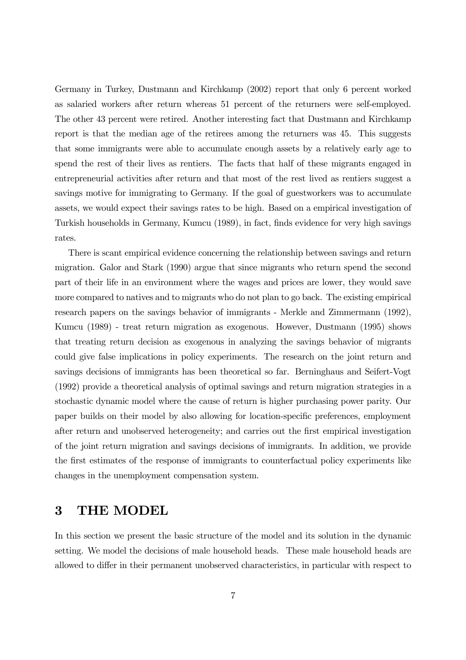Germany in Turkey, Dustmann and Kirchkamp (2002) report that only 6 percent worked as salaried workers after return whereas 51 percent of the returners were self-employed. The other 43 percent were retired. Another interesting fact that Dustmann and Kirchkamp report is that the median age of the retirees among the returners was 45. This suggests that some immigrants were able to accumulate enough assets by a relatively early age to spend the rest of their lives as rentiers. The facts that half of these migrants engaged in entrepreneurial activities after return and that most of the rest lived as rentiers suggest a savings motive for immigrating to Germany. If the goal of guestworkers was to accumulate assets, we would expect their savings rates to be high. Based on a empirical investigation of Turkish households in Germany, Kumcu (1989), in fact, finds evidence for very high savings rates.

There is scant empirical evidence concerning the relationship between savings and return migration. Galor and Stark (1990) argue that since migrants who return spend the second part of their life in an environment where the wages and prices are lower, they would save more compared to natives and to migrants who do not plan to go back. The existing empirical research papers on the savings behavior of immigrants - Merkle and Zimmermann (1992), Kumcu (1989) - treat return migration as exogenous. However, Dustmann (1995) shows that treating return decision as exogenous in analyzing the savings behavior of migrants could give false implications in policy experiments. The research on the joint return and savings decisions of immigrants has been theoretical so far. Berninghaus and Seifert-Vogt (1992) provide a theoretical analysis of optimal savings and return migration strategies in a stochastic dynamic model where the cause of return is higher purchasing power parity. Our paper builds on their model by also allowing for location-specific preferences, employment after return and unobserved heterogeneity; and carries out the first empirical investigation of the joint return migration and savings decisions of immigrants. In addition, we provide the first estimates of the response of immigrants to counterfactual policy experiments like changes in the unemployment compensation system.

### 3 THE MODEL

In this section we present the basic structure of the model and its solution in the dynamic setting. We model the decisions of male household heads. These male household heads are allowed to differ in their permanent unobserved characteristics, in particular with respect to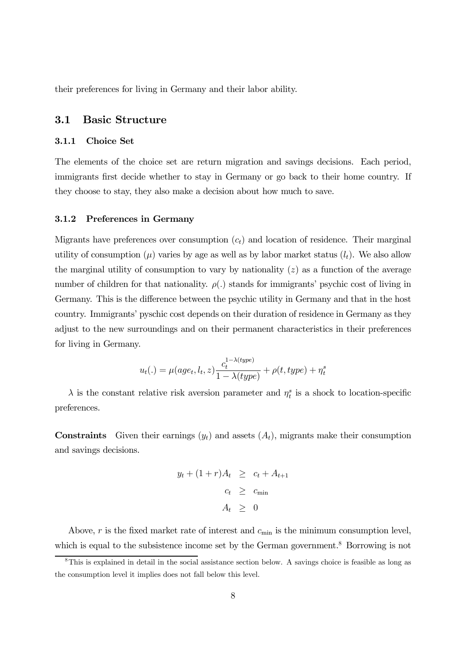their preferences for living in Germany and their labor ability.

### 3.1 Basic Structure

#### 3.1.1 Choice Set

The elements of the choice set are return migration and savings decisions. Each period, immigrants first decide whether to stay in Germany or go back to their home country. If they choose to stay, they also make a decision about how much to save.

#### 3.1.2 Preferences in Germany

Migrants have preferences over consumption  $(c<sub>t</sub>)$  and location of residence. Their marginal utility of consumption  $(\mu)$  varies by age as well as by labor market status  $(l_t)$ . We also allow the marginal utility of consumption to vary by nationality  $(z)$  as a function of the average number of children for that nationality.  $\rho(.)$  stands for immigrants' psychic cost of living in Germany. This is the difference between the psychic utility in Germany and that in the host country. Immigrantsí pyschic cost depends on their duration of residence in Germany as they adjust to the new surroundings and on their permanent characteristics in their preferences for living in Germany.

$$
u_t(.) = \mu(age_t, l_t, z) \frac{c_t^{1-\lambda(type)}}{1-\lambda(type)} + \rho(t, type) + \eta_t^s
$$

 $\lambda$  is the constant relative risk aversion parameter and  $\eta_t^s$  is a shock to location-specific preferences.

**Constraints** Given their earnings  $(y_t)$  and assets  $(A_t)$ , migrants make their consumption and savings decisions.

$$
y_t + (1+r)A_t \geq c_t + A_{t+1}
$$
  

$$
c_t \geq c_{\min}
$$
  

$$
A_t \geq 0
$$

Above, r is the fixed market rate of interest and  $c_{\min}$  is the minimum consumption level, which is equal to the subsistence income set by the German government.<sup>8</sup> Borrowing is not

<sup>8</sup>This is explained in detail in the social assistance section below. A savings choice is feasible as long as the consumption level it implies does not fall below this level.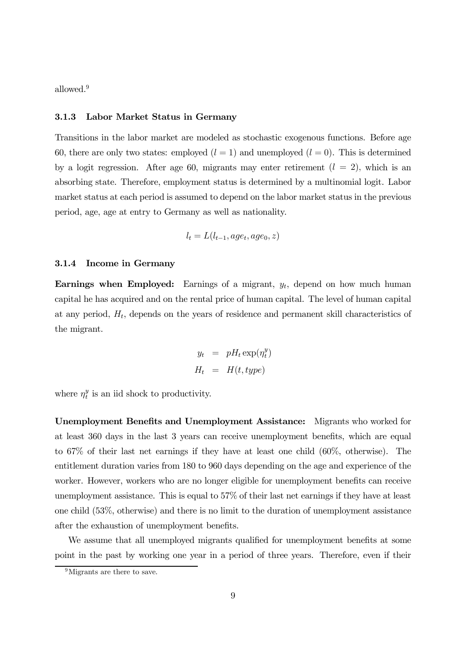allowed. 9

#### 3.1.3 Labor Market Status in Germany

Transitions in the labor market are modeled as stochastic exogenous functions. Before age 60, there are only two states: employed  $(l = 1)$  and unemployed  $(l = 0)$ . This is determined by a logit regression. After age 60, migrants may enter retirement  $(l = 2)$ , which is an absorbing state. Therefore, employment status is determined by a multinomial logit. Labor market status at each period is assumed to depend on the labor market status in the previous period, age, age at entry to Germany as well as nationality.

$$
l_t = L(l_{t-1}, age_t, age_0, z)
$$

#### 3.1.4 Income in Germany

Earnings when Employed: Earnings of a migrant,  $y_t$ , depend on how much human capital he has acquired and on the rental price of human capital. The level of human capital at any period,  $H_t$ , depends on the years of residence and permanent skill characteristics of the migrant.

$$
y_t = pH_t \exp(\eta_t^y)
$$
  

$$
H_t = H(t, type)
$$

where  $\eta_t^y$  $t_i^y$  is an iid shock to productivity.

Unemployment Benefits and Unemployment Assistance: Migrants who worked for at least 360 days in the last 3 years can receive unemployment benefits, which are equal to 67% of their last net earnings if they have at least one child (60%, otherwise). The entitlement duration varies from 180 to 960 days depending on the age and experience of the worker. However, workers who are no longer eligible for unemployment benefits can receive unemployment assistance. This is equal to 57% of their last net earnings if they have at least one child (53%, otherwise) and there is no limit to the duration of unemployment assistance after the exhaustion of unemployment benefits.

We assume that all unemployed migrants qualified for unemployment benefits at some point in the past by working one year in a period of three years. Therefore, even if their

<sup>&</sup>lt;sup>9</sup>Migrants are there to save.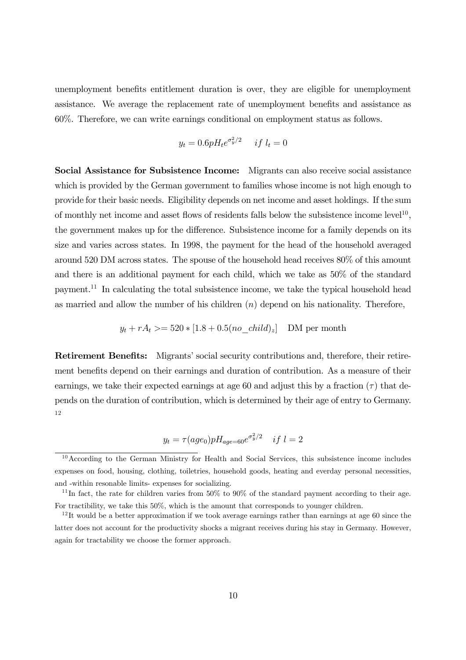unemployment benefits entitlement duration is over, they are eligible for unemployment assistance. We average the replacement rate of unemployment benefits and assistance as 60%. Therefore, we can write earnings conditional on employment status as follows.

$$
y_t = 0.6pH_t e^{\sigma_y^2/2} \quad \text{if } l_t = 0
$$

Social Assistance for Subsistence Income: Migrants can also receive social assistance which is provided by the German government to families whose income is not high enough to provide for their basic needs. Eligibility depends on net income and asset holdings. If the sum of monthly net income and asset flows of residents falls below the subsistence income level<sup>10</sup>, the government makes up for the difference. Subsistence income for a family depends on its size and varies across states. In 1998, the payment for the head of the household averaged around 520 DM across states. The spouse of the household head receives 80% of this amount and there is an additional payment for each child, which we take as 50% of the standard payment. 11 In calculating the total subsistence income, we take the typical household head as married and allow the number of his children  $(n)$  depend on his nationality. Therefore,

$$
y_t + rA_t \ge 520 * [1.8 + 0.5(no\_child)_z]
$$
 DM per month

Retirement Benefits: Migrants' social security contributions and, therefore, their retirement benefits depend on their earnings and duration of contribution. As a measure of their earnings, we take their expected earnings at age 60 and adjust this by a fraction  $(\tau)$  that depends on the duration of contribution, which is determined by their age of entry to Germany. 12

$$
y_t = \tau(age_0) p H_{age=60} e^{\sigma_y^2/2} \quad if \ l=2
$$

<sup>&</sup>lt;sup>10</sup>According to the German Ministry for Health and Social Services, this subsistence income includes expenses on food, housing, clothing, toiletries, household goods, heating and everday personal necessities, and -within resonable limits- expenses for socializing.

<sup>&</sup>lt;sup>11</sup>In fact, the rate for children varies from 50% to 90% of the standard payment according to their age. For tractibility, we take this 50%, which is the amount that corresponds to younger children.

 $12$ It would be a better approximation if we took average earnings rather than earnings at age 60 since the latter does not account for the productivity shocks a migrant receives during his stay in Germany. However, again for tractability we choose the former approach.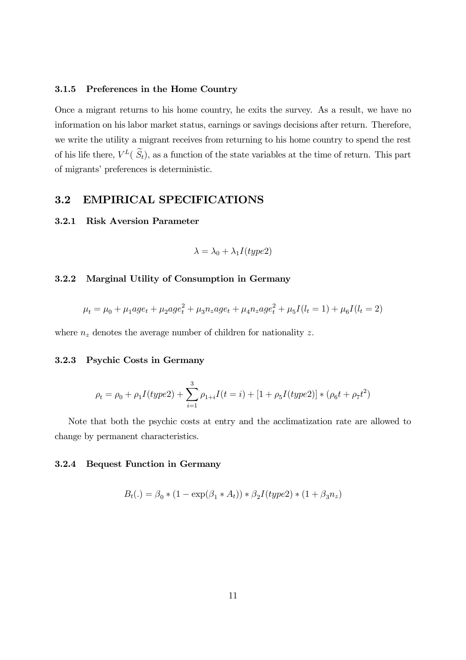#### 3.1.5 Preferences in the Home Country

Once a migrant returns to his home country, he exits the survey. As a result, we have no information on his labor market status, earnings or savings decisions after return. Therefore, we write the utility a migrant receives from returning to his home country to spend the rest of his life there,  $V^L(S_t)$ , as a function of the state variables at the time of return. This part of migrants' preferences is deterministic.

### 3.2 EMPIRICAL SPECIFICATIONS

#### 3.2.1 Risk Aversion Parameter

$$
\lambda = \lambda_0 + \lambda_1 I(type2)
$$

#### 3.2.2 Marginal Utility of Consumption in Germany

$$
\mu_t = \mu_0 + \mu_1 age_t + \mu_2 age_t^2 + \mu_3 n_z age_t + \mu_4 n_z age_t^2 + \mu_5 I(l_t = 1) + \mu_6 I(l_t = 2)
$$

where  $n_z$  denotes the average number of children for nationality z.

#### 3.2.3 Psychic Costs in Germany

$$
\rho_t = \rho_0 + \rho_1 I(type2) + \sum_{i=1}^3 \rho_{1+i} I(t=i) + [1 + \rho_5 I(type2)] * (\rho_6 t + \rho_7 t^2)
$$

Note that both the psychic costs at entry and the acclimatization rate are allowed to change by permanent characteristics.

#### 3.2.4 Bequest Function in Germany

$$
B_t(.) = \beta_0 * (1 - \exp(\beta_1 * A_t)) * \beta_2 I(type2) * (1 + \beta_3 n_z)
$$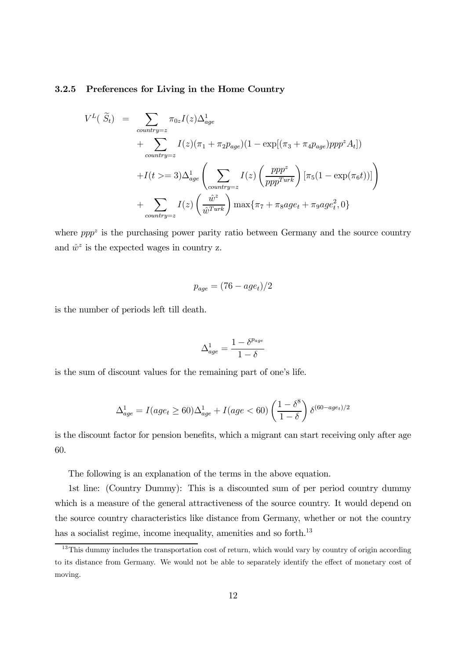#### 3.2.5 Preferences for Living in the Home Country

$$
V^{L}(\tilde{S}_{t}) = \sum_{contrry=z} \pi_{0z} I(z) \Delta_{age}^{1}
$$
  
+ 
$$
\sum_{contrry=z} I(z) (\pi_{1} + \pi_{2} p_{age}) (1 - \exp[(\pi_{3} + \pi_{4} p_{age})ppp^{z} A_{t}])
$$
  
+ 
$$
I(t >= 3) \Delta_{age}^{1} \left( \sum_{contrry=z} I(z) \left( \frac{ppp^{z}}{ppp^{Turk}} \right) [\pi_{5} (1 - \exp(\pi_{6} t))] \right)
$$
  
+ 
$$
\sum_{contrry=z} I(z) \left( \frac{\hat{w}^{z}}{\hat{w}^{Turk}} \right) \max \{\pi_{7} + \pi_{8} age_{t} + \pi_{9} age_{t}^{2}, 0 \}
$$

where  $pp^2$  is the purchasing power parity ratio between Germany and the source country and  $\hat{w}^z$  is the expected wages in country z.

$$
p_{age} = (76 - age_t)/2
$$

is the number of periods left till death.

$$
\Delta^1_{age}=\frac{1-\delta^{p_{age}}}{1-\delta}
$$

is the sum of discount values for the remaining part of one's life.

$$
\Delta_{age}^{1} = I(age_t \ge 60)\Delta_{age}^{1} + I(age < 60) \left(\frac{1 - \delta^8}{1 - \delta}\right) \delta^{(60 - age_t)/2}
$$

is the discount factor for pension benefits, which a migrant can start receiving only after age 60.

The following is an explanation of the terms in the above equation.

1st line: (Country Dummy): This is a discounted sum of per period country dummy which is a measure of the general attractiveness of the source country. It would depend on the source country characteristics like distance from Germany, whether or not the country has a socialist regime, income inequality, amenities and so forth.<sup>13</sup>

<sup>&</sup>lt;sup>13</sup>This dummy includes the transportation cost of return, which would vary by country of origin according to its distance from Germany. We would not be able to separately identify the effect of monetary cost of moving.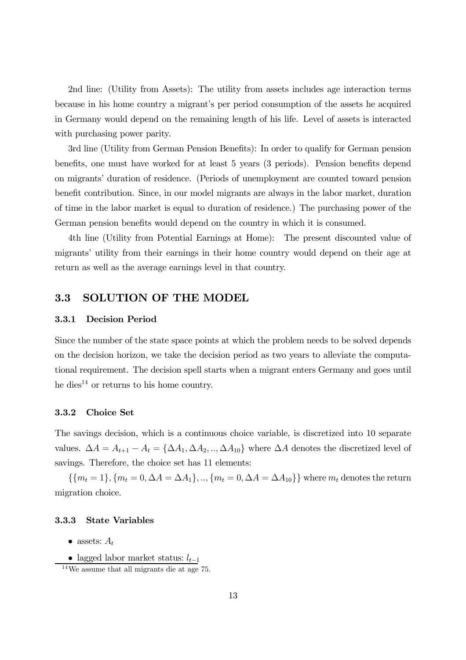2nd line: (Utility from Assets): The utility from assets includes age interaction terms because in his home country a migrant's per period consumption of the assets he acquired in Germany would depend on the remaining length of his life. Level of assets is interacted with purchasing power parity.

3rd line (Utility from German Pension Benefits): In order to qualify for German pension benefits, one must have worked for at least 5 years (3 periods). Pension benefits depend on migrants' duration of residence. (Periods of unemployment are counted toward pension benefit contribution. Since, in our model migrants are always in the labor market, duration of time in the labor market is equal to duration of residence.) The purchasing power of the German pension benefits would depend on the country in which it is consumed.

4th line (Utility from Potential Earnings at Home): The present discounted value of migrants' utility from their earnings in their home country would depend on their age at return as well as the average earnings level in that country.

### 3.3 SOLUTION OF THE MODEL

#### 3.3.1 Decision Period

Since the number of the state space points at which the problem needs to be solved depends on the decision horizon, we take the decision period as two years to alleviate the computational requirement. The decision spell starts when a migrant enters Germany and goes until he dies<sup>14</sup> or returns to his home country.

#### 3.3.2 Choice Set

The savings decision, which is a continuous choice variable, is discretized into 10 separate values.  $\Delta A = A_{t+1} - A_t = {\Delta A_1, \Delta A_2, ..., \Delta A_{10}}$  where  $\Delta A$  denotes the discretized level of savings. Therefore, the choice set has 11 elements:

 $\{\{m_t = 1\}, \{m_t = 0, \Delta A = \Delta A_1\}, \dots, \{m_t = 0, \Delta A = \Delta A_{10}\}\}\$  where  $m_t$  denotes the return migration choice.

#### 3.3.3 State Variables

- assets:  $A_t$
- lagged labor market status:  $l_{t-1}$

<sup>14</sup>We assume that all migrants die at age 75.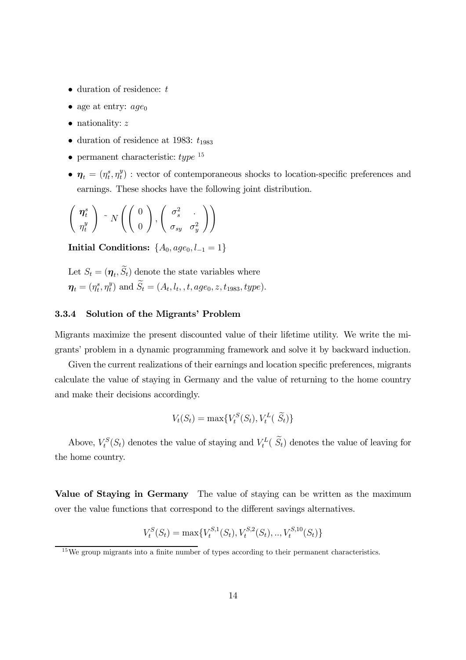- $\bullet$  duration of residence:  $t$
- age at entry:  $age_0$
- $\bullet$  nationality:  $z$
- duration of residence at 1983:  $t_{1983}$
- permanent characteristic:  $type^{-15}$
- $\bullet$   $\boldsymbol{\eta}_t = (\eta^s_t, \eta^y_t)$  $_{t}^{y}$ ) : vector of contemporaneous shocks to location-specific preferences and earnings. These shocks have the following joint distribution.

$$
\left(\begin{array}{c}\n\boldsymbol{\eta}_t^s \\
\boldsymbol{\eta}_t^y\n\end{array}\right) \sim N\left(\left(\begin{array}{c}\n0 \\
0\n\end{array}\right), \left(\begin{array}{cc}\n\sigma_s^2 \\
\sigma_{sy} & \sigma_y^2\n\end{array}\right)\right)
$$

Initial Conditions:  $\{A_0, age_0, l_{-1} = 1\}$ 

Let  $S_t = (\eta_t, S_t)$  denote the state variables where  $\boldsymbol{\eta}_t = (\eta^s_t, \eta^y_t$  $t_t^y$ ) and  $S_t = (A_t, l_t, t, age_0, z, t_{1983}, type).$ 

#### 3.3.4 Solution of the Migrants' Problem

Migrants maximize the present discounted value of their lifetime utility. We write the migrantsí problem in a dynamic programming framework and solve it by backward induction.

Given the current realizations of their earnings and location specific preferences, migrants calculate the value of staying in Germany and the value of returning to the home country and make their decisions accordingly.

$$
V_t(S_t) = \max\{V_t^S(S_t), V_t^L(\tilde{S}_t)\}\
$$

Above,  $V_t^S(S_t)$  denotes the value of staying and  $V_t^L(S_t)$  denotes the value of leaving for the home country.

Value of Staying in Germany The value of staying can be written as the maximum over the value functions that correspond to the different savings alternatives.

$$
V_t^S(S_t) = \max\{V_t^{S,1}(S_t), V_t^{S,2}(S_t), ..., V_t^{S,10}(S_t)\}\
$$

<sup>&</sup>lt;sup>15</sup>We group migrants into a finite number of types according to their permanent characteristics.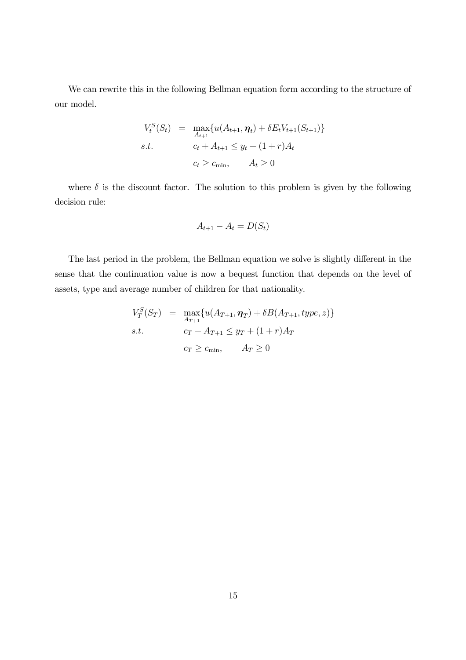We can rewrite this in the following Bellman equation form according to the structure of our model.

$$
V_t^S(S_t) = \max_{A_{t+1}} \{ u(A_{t+1}, \eta_t) + \delta E_t V_{t+1}(S_{t+1}) \}
$$
  
s.t. 
$$
c_t + A_{t+1} \leq y_t + (1+r)A_t
$$

$$
c_t \geq c_{\min}, \qquad A_t \geq 0
$$

where  $\delta$  is the discount factor. The solution to this problem is given by the following decision rule:

$$
A_{t+1} - A_t = D(S_t)
$$

The last period in the problem, the Bellman equation we solve is slightly different in the sense that the continuation value is now a bequest function that depends on the level of assets, type and average number of children for that nationality.

$$
V_T^S(S_T) = \max_{A_{T+1}} \{ u(A_{T+1}, \eta_T) + \delta B(A_{T+1}, type, z) \}
$$
  
s.t. 
$$
c_T + A_{T+1} \leq y_T + (1+r)A_T
$$

$$
c_T \geq c_{\min}, \qquad A_T \geq 0
$$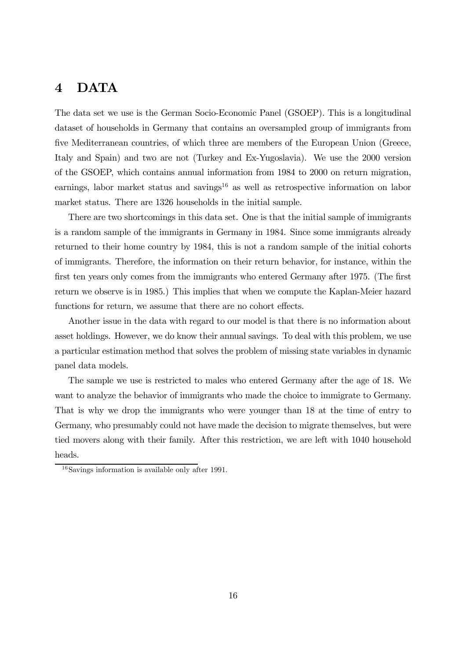### 4 DATA

The data set we use is the German Socio-Economic Panel (GSOEP). This is a longitudinal dataset of households in Germany that contains an oversampled group of immigrants from five Mediterranean countries, of which three are members of the European Union (Greece, Italy and Spain) and two are not (Turkey and Ex-Yugoslavia). We use the 2000 version of the GSOEP, which contains annual information from 1984 to 2000 on return migration, earnings, labor market status and savings <sup>16</sup> as well as retrospective information on labor market status. There are 1326 households in the initial sample.

There are two shortcomings in this data set. One is that the initial sample of immigrants is a random sample of the immigrants in Germany in 1984. Since some immigrants already returned to their home country by 1984, this is not a random sample of the initial cohorts of immigrants. Therefore, the information on their return behavior, for instance, within the first ten years only comes from the immigrants who entered Germany after 1975. (The first return we observe is in 1985.) This implies that when we compute the Kaplan-Meier hazard functions for return, we assume that there are no cohort effects.

Another issue in the data with regard to our model is that there is no information about asset holdings. However, we do know their annual savings. To deal with this problem, we use a particular estimation method that solves the problem of missing state variables in dynamic panel data models.

The sample we use is restricted to males who entered Germany after the age of 18. We want to analyze the behavior of immigrants who made the choice to immigrate to Germany. That is why we drop the immigrants who were younger than 18 at the time of entry to Germany, who presumably could not have made the decision to migrate themselves, but were tied movers along with their family. After this restriction, we are left with 1040 household heads.

 $16$ Savings information is available only after 1991.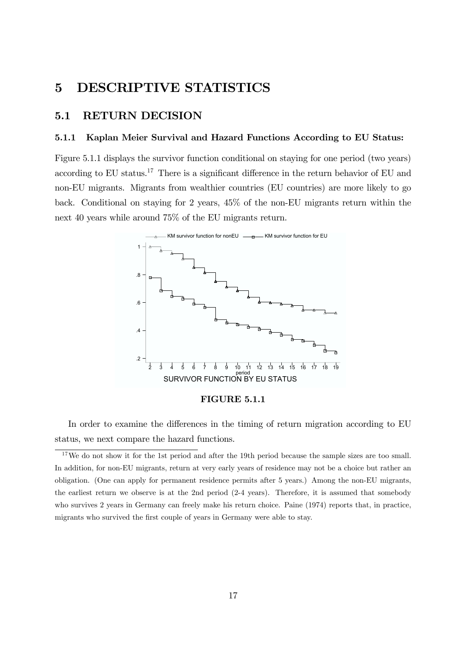### 5 DESCRIPTIVE STATISTICS

### 5.1 RETURN DECISION

#### 5.1.1 Kaplan Meier Survival and Hazard Functions According to EU Status:

Figure 5.1.1 displays the survivor function conditional on staying for one period (two years) according to EU status.<sup>17</sup> There is a significant difference in the return behavior of EU and non-EU migrants. Migrants from wealthier countries (EU countries) are more likely to go back. Conditional on staying for 2 years, 45% of the non-EU migrants return within the next 40 years while around 75% of the EU migrants return.



FIGURE 5.1.1

In order to examine the differences in the timing of return migration according to EU status, we next compare the hazard functions.

<sup>&</sup>lt;sup>17</sup>We do not show it for the 1st period and after the 19th period because the sample sizes are too small. In addition, for non-EU migrants, return at very early years of residence may not be a choice but rather an obligation. (One can apply for permanent residence permits after 5 years.) Among the non-EU migrants, the earliest return we observe is at the 2nd period (2-4 years). Therefore, it is assumed that somebody who survives 2 years in Germany can freely make his return choice. Paine (1974) reports that, in practice, migrants who survived the first couple of years in Germany were able to stay.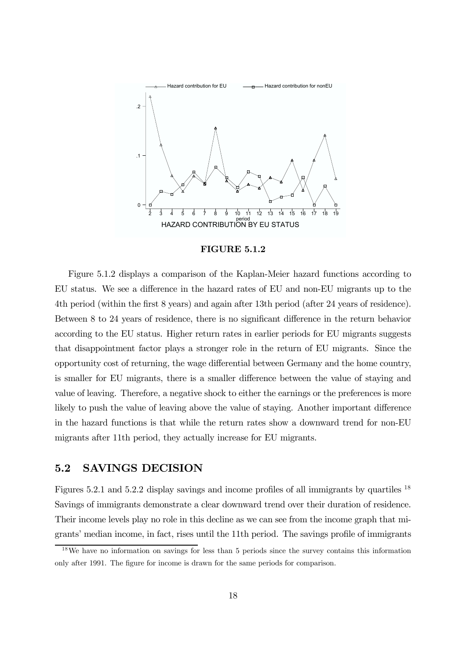

FIGURE 5.1.2

Figure 5.1.2 displays a comparison of the Kaplan-Meier hazard functions according to EU status. We see a difference in the hazard rates of EU and non-EU migrants up to the 4th period (within the first 8 years) and again after 13th period (after 24 years of residence). Between 8 to 24 years of residence, there is no significant difference in the return behavior according to the EU status. Higher return rates in earlier periods for EU migrants suggests that disappointment factor plays a stronger role in the return of EU migrants. Since the opportunity cost of returning, the wage differential between Germany and the home country, is smaller for EU migrants, there is a smaller difference between the value of staying and value of leaving. Therefore, a negative shock to either the earnings or the preferences is more likely to push the value of leaving above the value of staying. Another important difference in the hazard functions is that while the return rates show a downward trend for non-EU migrants after 11th period, they actually increase for EU migrants.

### 5.2 SAVINGS DECISION

Figures 5.2.1 and 5.2.2 display savings and income profiles of all immigrants by quartiles <sup>18</sup> Savings of immigrants demonstrate a clear downward trend over their duration of residence. Their income levels play no role in this decline as we can see from the income graph that migrantsí median income, in fact, rises until the 11th period. The savings profile of immigrants

<sup>&</sup>lt;sup>18</sup>We have no information on savings for less than 5 periods since the survey contains this information only after 1991. The figure for income is drawn for the same periods for comparison.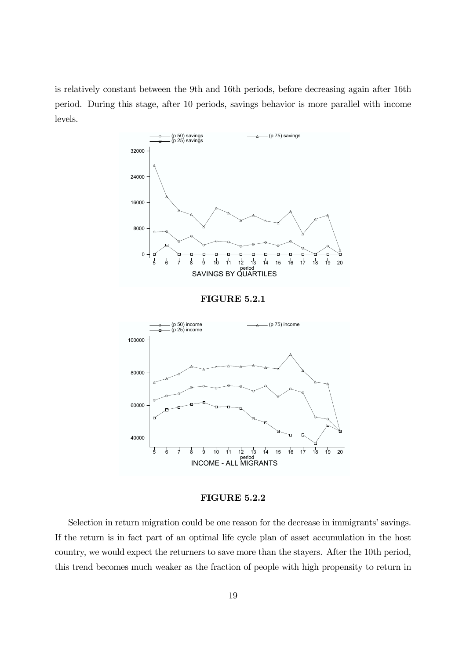is relatively constant between the 9th and 16th periods, before decreasing again after 16th period. During this stage, after 10 periods, savings behavior is more parallel with income levels.



FIGURE 5.2.2

Selection in return migration could be one reason for the decrease in immigrants' savings. If the return is in fact part of an optimal life cycle plan of asset accumulation in the host country, we would expect the returners to save more than the stayers. After the 10th period, this trend becomes much weaker as the fraction of people with high propensity to return in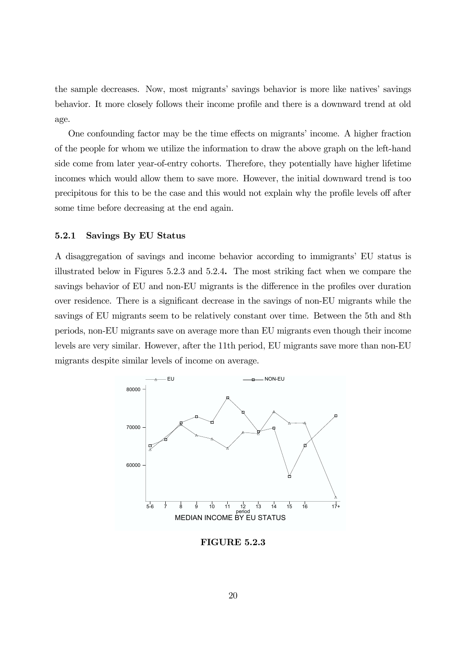the sample decreases. Now, most migrants' savings behavior is more like natives' savings behavior. It more closely follows their income profile and there is a downward trend at old age.

One confounding factor may be the time effects on migrants' income. A higher fraction of the people for whom we utilize the information to draw the above graph on the left-hand side come from later year-of-entry cohorts. Therefore, they potentially have higher lifetime incomes which would allow them to save more. However, the initial downward trend is too precipitous for this to be the case and this would not explain why the profile levels off after some time before decreasing at the end again.

#### 5.2.1 Savings By EU Status

A disaggregation of savings and income behavior according to immigrants' EU status is illustrated below in Figures 5.2.3 and 5.2.4. The most striking fact when we compare the savings behavior of EU and non-EU migrants is the difference in the profiles over duration over residence. There is a significant decrease in the savings of non-EU migrants while the savings of EU migrants seem to be relatively constant over time. Between the 5th and 8th periods, non-EU migrants save on average more than EU migrants even though their income levels are very similar. However, after the 11th period, EU migrants save more than non-EU migrants despite similar levels of income on average.



FIGURE 5.2.3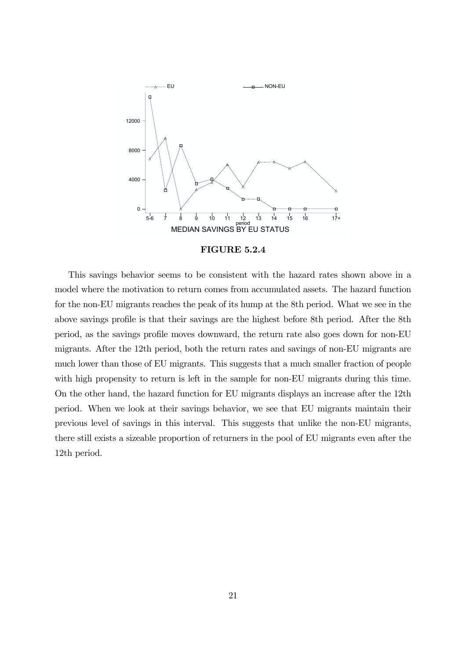

FIGURE 5.2.4

This savings behavior seems to be consistent with the hazard rates shown above in a model where the motivation to return comes from accumulated assets. The hazard function for the non-EU migrants reaches the peak of its hump at the 8th period. What we see in the above savings profile is that their savings are the highest before 8th period. After the 8th period, as the savings profile moves downward, the return rate also goes down for non-EU migrants. After the 12th period, both the return rates and savings of non-EU migrants are much lower than those of EU migrants. This suggests that a much smaller fraction of people with high propensity to return is left in the sample for non-EU migrants during this time. On the other hand, the hazard function for EU migrants displays an increase after the 12th period. When we look at their savings behavior, we see that EU migrants maintain their previous level of savings in this interval. This suggests that unlike the non-EU migrants, there still exists a sizeable proportion of returners in the pool of EU migrants even after the 12th period.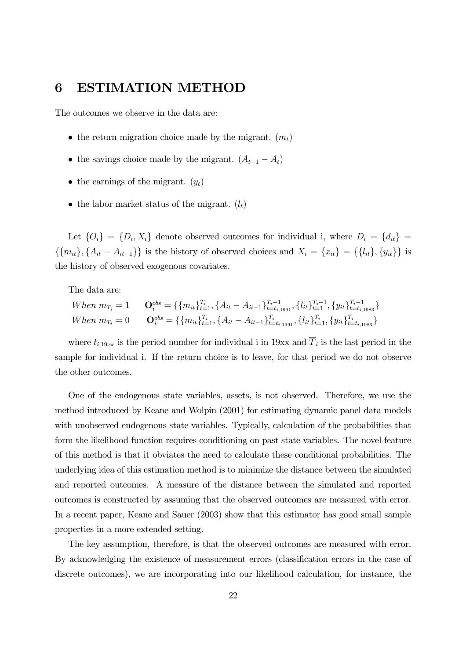### 6 ESTIMATION METHOD

The outcomes we observe in the data are:

- the return migration choice made by the migrant.  $(m_t)$
- the savings choice made by the migrant.  $(A_{t+1} A_t)$
- the earnings of the migrant.  $(y_t)$
- the labor market status of the migrant.  $(l_t)$

Let  $\{O_i\} = \{D_i, X_i\}$  denote observed outcomes for individual i, where  $D_i = \{d_{it}\}$  $\{\{m_{it}\}, \{A_{it}-A_{it-1}\}\}\$ is the history of observed choices and  $X_i = \{x_{it}\} = \{\{l_{it}\}, \{y_{it}\}\}\$ is the history of observed exogenous covariates.

The data are:

When 
$$
m_{T_i} = 1
$$
  $\mathbf{O}_i^{obs} = \{ \{m_{it}\}_{t=1}^{T_i}, \{A_{it} - A_{it-1}\}_{t=t_{i,1991}}^{T_i-1}, \{l_{it}\}_{t=1}^{T_i-1}, \{y_{it}\}_{t=t_{i,1983}}^{T_i-1} \}$   
When  $m_{T_i} = 0$   $\mathbf{O}_i^{obs} = \{ \{m_{it}\}_{t=1}^{T_i}, \{A_{it} - A_{it-1}\}_{t=t_{i,1991}}^{T_i}, \{l_{it}\}_{t=1}^{T_i}, \{y_{it}\}_{t=t_{i,1983}}^{T_i} \}$ 

where  $t_{i,19xx}$  is the period number for individual i in 19xx and  $T_i$  is the last period in the sample for individual i. If the return choice is to leave, for that period we do not observe the other outcomes.

One of the endogenous state variables, assets, is not observed. Therefore, we use the method introduced by Keane and Wolpin (2001) for estimating dynamic panel data models with unobserved endogenous state variables. Typically, calculation of the probabilities that form the likelihood function requires conditioning on past state variables. The novel feature of this method is that it obviates the need to calculate these conditional probabilities. The underlying idea of this estimation method is to minimize the distance between the simulated and reported outcomes. A measure of the distance between the simulated and reported outcomes is constructed by assuming that the observed outcomes are measured with error. In a recent paper, Keane and Sauer (2003) show that this estimator has good small sample properties in a more extended setting.

The key assumption, therefore, is that the observed outcomes are measured with error. By acknowledging the existence of measurement errors (classification errors in the case of discrete outcomes), we are incorporating into our likelihood calculation, for instance, the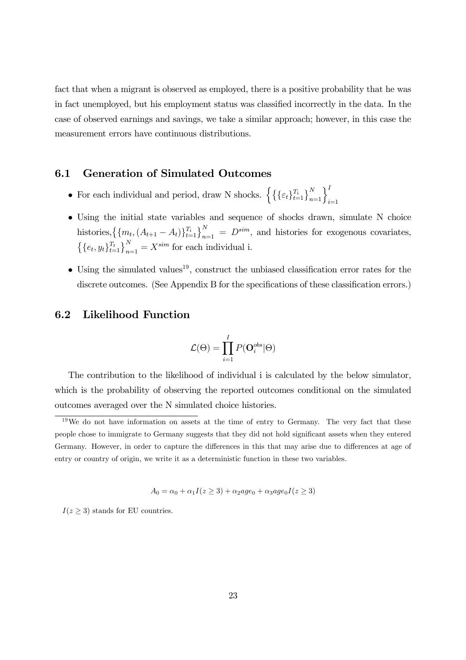fact that when a migrant is observed as employed, there is a positive probability that he was in fact unemployed, but his employment status was classified incorrectly in the data. In the case of observed earnings and savings, we take a similar approach; however, in this case the measurement errors have continuous distributions.

### 6.1 Generation of Simulated Outcomes

- For each individual and period, draw N shocks.  $\left\{ \left\{ \{\varepsilon_t\}_{t=1}^{T_i}\right\}_{n=1}^N\right\}$  $\iota$ <sup>I</sup>  $i=1$
- $\bullet$  Using the initial state variables and sequence of shocks drawn, simulate N choice histories,  $\left\{\{m_t, (A_{t+1} - A_t)\}_{t=1}^{T_i}\right\}_{n=1}^N = D^{sim}$ , and histories for exogenous covariates,  $\left\{\{e_t, y_t\}_{t=1}^{T_t}\right\}_{n=1}^N = X^{sim}$  for each individual i.
- $\bullet$  Using the simulated values<sup>19</sup>, construct the unbiased classification error rates for the discrete outcomes. (See Appendix B for the specifications of these classification errors.)

### 6.2 Likelihood Function

$$
\mathcal{L}(\Theta) = \prod_{i=1}^{I} P(\mathbf{O}^{obs}_{i} | \Theta)
$$

The contribution to the likelihood of individual i is calculated by the below simulator, which is the probability of observing the reported outcomes conditional on the simulated outcomes averaged over the N simulated choice histories.

$$
A_0 = \alpha_0 + \alpha_1 I(z \geq 3) + \alpha_2 age_0 + \alpha_3 age_0 I(z \geq 3)
$$

 $I(z \geq 3)$  stands for EU countries.

 $19\,\text{We}$  do not have information on assets at the time of entry to Germany. The very fact that these people chose to immigrate to Germany suggests that they did not hold significant assets when they entered Germany. However, in order to capture the differences in this that may arise due to differences at age of entry or country of origin, we write it as a deterministic function in these two variables.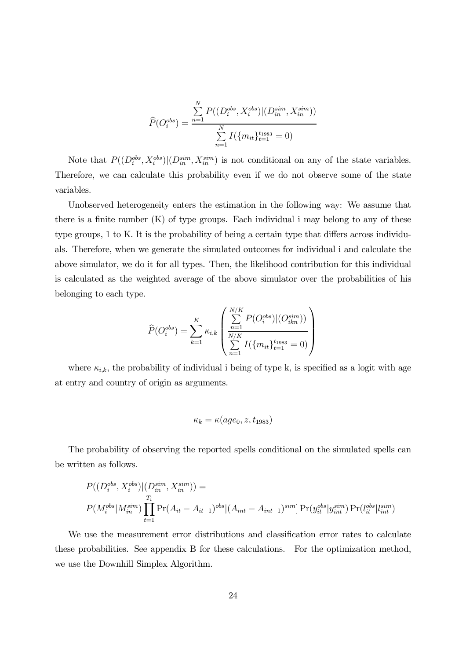$$
\widehat{P}(O_i^{obs}) = \frac{\sum_{n=1}^{N} P((D_i^{obs}, X_i^{obs}) | (D_{in}^{sim}, X_{in}^{sim}))}{\sum_{n=1}^{N} I(\{m_{it}\}_{t=1}^{t_{1983}} = 0)}
$$

Note that  $P((D_i^{obs}, X_i^{obs})|(D_{in}^{sim}, X_{in}^{sim})$  is not conditional on any of the state variables. Therefore, we can calculate this probability even if we do not observe some of the state variables.

Unobserved heterogeneity enters the estimation in the following way: We assume that there is a finite number (K) of type groups. Each individual i may belong to any of these type groups, 1 to K. It is the probability of being a certain type that differs across individuals. Therefore, when we generate the simulated outcomes for individual i and calculate the above simulator, we do it for all types. Then, the likelihood contribution for this individual is calculated as the weighted average of the above simulator over the probabilities of his belonging to each type.

$$
\widehat{P}(O_i^{obs}) = \sum_{k=1}^K \kappa_{i,k} \left( \frac{\sum_{n=1}^{N/K} P(O_i^{obs}) | (O_{ikn}^{sim}))}{\sum_{n=1}^{N/K} I(\{m_{it}\}_{t=1}^{t_{1983}} = 0)} \right)
$$

where  $\kappa_{i,k}$ , the probability of individual i being of type k, is specified as a logit with age at entry and country of origin as arguments.

$$
\kappa_k = \kappa(age_0, z, t_{1983})
$$

The probability of observing the reported spells conditional on the simulated spells can be written as follows.

$$
P((D_i^{obs}, X_i^{obs})|(D_{in}^{sim}, X_{in}^{sim})) =
$$
  
\n
$$
P(M_i^{obs}|M_{in}^{sim})\prod_{t=1}^{T_i} \Pr(A_{it} - A_{it-1})^{obs}|(A_{int} - A_{int-1})^{sim}| \Pr(y_{it}^{obs}|y_{int}^{sim}) \Pr(l_{it}^{obs}|l_{int}^{sim})
$$

We use the measurement error distributions and classification error rates to calculate these probabilities. See appendix B for these calculations. For the optimization method, we use the Downhill Simplex Algorithm.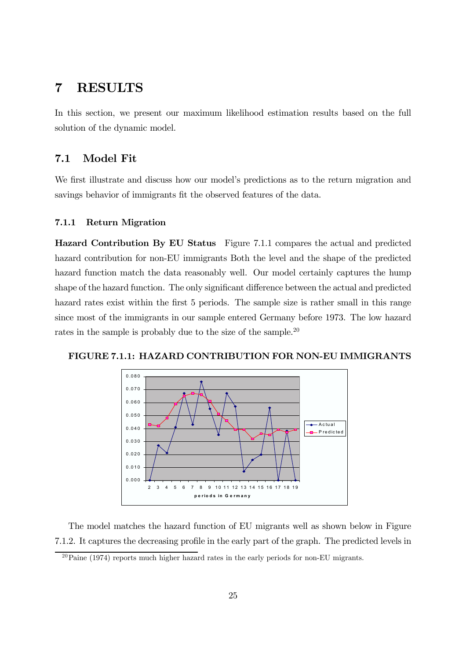### 7 RESULTS

In this section, we present our maximum likelihood estimation results based on the full solution of the dynamic model.

### 7.1 Model Fit

We first illustrate and discuss how our model's predictions as to the return migration and savings behavior of immigrants fit the observed features of the data.

#### 7.1.1 Return Migration

Hazard Contribution By EU Status Figure 7.1.1 compares the actual and predicted hazard contribution for non-EU immigrants Both the level and the shape of the predicted hazard function match the data reasonably well. Our model certainly captures the hump shape of the hazard function. The only significant difference between the actual and predicted hazard rates exist within the first 5 periods. The sample size is rather small in this range since most of the immigrants in our sample entered Germany before 1973. The low hazard rates in the sample is probably due to the size of the sample.<sup>20</sup>





The model matches the hazard function of EU migrants well as shown below in Figure 7.1.2. It captures the decreasing profile in the early part of the graph. The predicted levels in

 $20$ Paine (1974) reports much higher hazard rates in the early periods for non-EU migrants.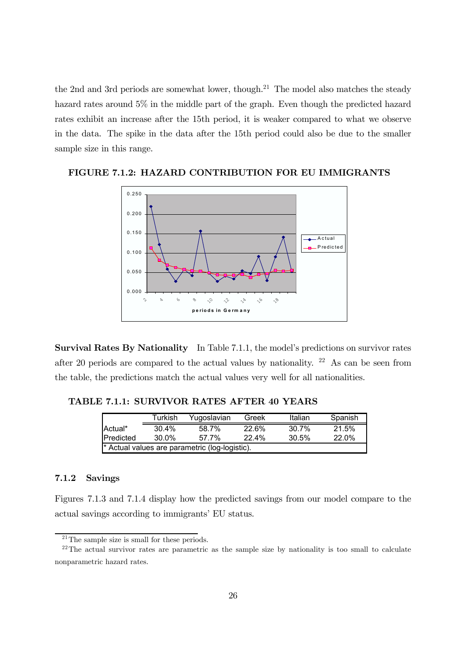the 2nd and 3rd periods are somewhat lower, though. <sup>21</sup> The model also matches the steady hazard rates around 5% in the middle part of the graph. Even though the predicted hazard rates exhibit an increase after the 15th period, it is weaker compared to what we observe in the data. The spike in the data after the 15th period could also be due to the smaller sample size in this range.



FIGURE 7.1.2: HAZARD CONTRIBUTION FOR EU IMMIGRANTS

Survival Rates By Nationality In Table 7.1.1, the model's predictions on survivor rates after 20 periods are compared to the actual values by nationality. <sup>22</sup> As can be seen from the table, the predictions match the actual values very well for all nationalities.

### TABLE 7.1.1: SURVIVOR RATES AFTER 40 YEARS

|                                                                 | Turkish | Yugoslavian | Greek | Italian | Spanish |  |  |  |  |
|-----------------------------------------------------------------|---------|-------------|-------|---------|---------|--|--|--|--|
| Actual*                                                         | 30.4%   | 58.7%       | 22.6% | 30.7%   | 21.5%   |  |  |  |  |
| 22.0%<br><b>I</b> Predicted<br>22.4%<br>30.5%<br>30.0%<br>57.7% |         |             |       |         |         |  |  |  |  |
| * Actual values are parametric (log-logistic).                  |         |             |       |         |         |  |  |  |  |

#### 7.1.2 Savings

Figures 7.1.3 and 7.1.4 display how the predicted savings from our model compare to the actual savings according to immigrants' EU status.

<sup>&</sup>lt;sup>21</sup>The sample size is small for these periods.

 $22$ The actual survivor rates are parametric as the sample size by nationality is too small to calculate nonparametric hazard rates.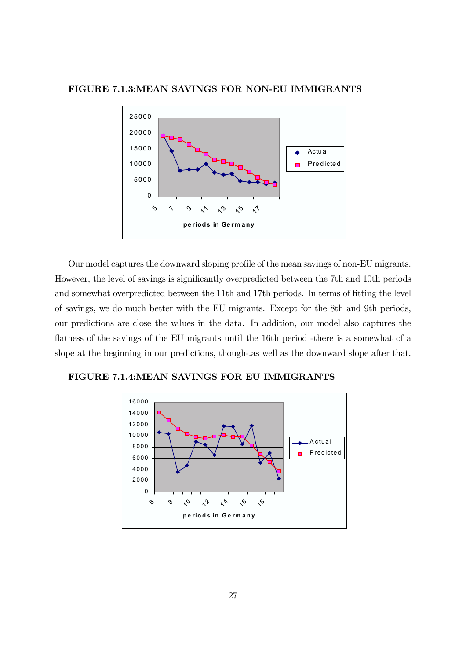#### FIGURE 7.1.3:MEAN SAVINGS FOR NON-EU IMMIGRANTS



Our model captures the downward sloping profile of the mean savings of non-EU migrants. However, the level of savings is significantly overpredicted between the 7th and 10th periods and somewhat overpredicted between the 11th and 17th periods. In terms of fitting the level of savings, we do much better with the EU migrants. Except for the 8th and 9th periods, our predictions are close the values in the data. In addition, our model also captures the flatness of the savings of the EU migrants until the 16th period -there is a somewhat of a slope at the beginning in our predictions, though-.as well as the downward slope after that.

FIGURE 7.1.4:MEAN SAVINGS FOR EU IMMIGRANTS

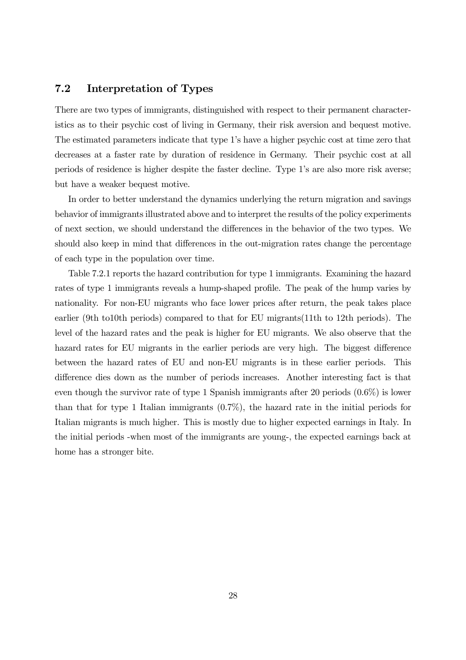### 7.2 Interpretation of Types

There are two types of immigrants, distinguished with respect to their permanent characteristics as to their psychic cost of living in Germany, their risk aversion and bequest motive. The estimated parameters indicate that type 1's have a higher psychic cost at time zero that decreases at a faster rate by duration of residence in Germany. Their psychic cost at all periods of residence is higher despite the faster decline. Type 1ís are also more risk averse; but have a weaker bequest motive.

In order to better understand the dynamics underlying the return migration and savings behavior of immigrants illustrated above and to interpret the results of the policy experiments of next section, we should understand the dierences in the behavior of the two types. We should also keep in mind that differences in the out-migration rates change the percentage of each type in the population over time.

Table 7.2.1 reports the hazard contribution for type 1 immigrants. Examining the hazard rates of type 1 immigrants reveals a hump-shaped profile. The peak of the hump varies by nationality. For non-EU migrants who face lower prices after return, the peak takes place earlier (9th to10th periods) compared to that for EU migrants(11th to 12th periods). The level of the hazard rates and the peak is higher for EU migrants. We also observe that the hazard rates for EU migrants in the earlier periods are very high. The biggest difference between the hazard rates of EU and non-EU migrants is in these earlier periods. This difference dies down as the number of periods increases. Another interesting fact is that even though the survivor rate of type 1 Spanish immigrants after 20 periods (0.6%) is lower than that for type 1 Italian immigrants (0.7%), the hazard rate in the initial periods for Italian migrants is much higher. This is mostly due to higher expected earnings in Italy. In the initial periods -when most of the immigrants are young-, the expected earnings back at home has a stronger bite.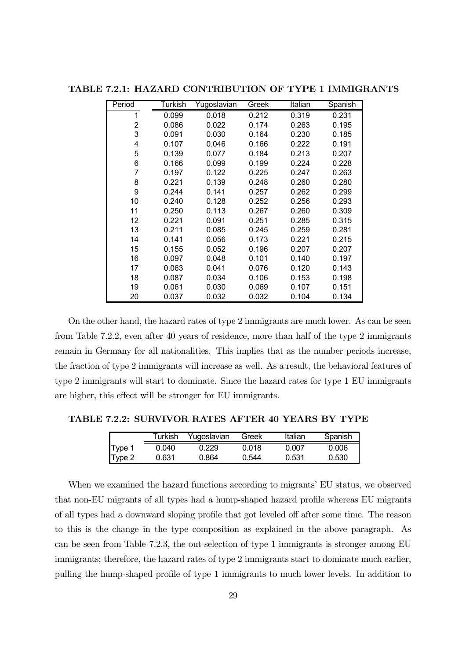| Period | Turkish | Yugoslavian | Greek | Italian | Spanish |
|--------|---------|-------------|-------|---------|---------|
| 1      | 0.099   | 0.018       | 0.212 | 0.319   | 0.231   |
| 2      | 0.086   | 0.022       | 0.174 | 0.263   | 0.195   |
| 3      | 0.091   | 0.030       | 0.164 | 0.230   | 0.185   |
| 4      | 0.107   | 0.046       | 0.166 | 0.222   | 0.191   |
| 5      | 0.139   | 0.077       | 0.184 | 0.213   | 0.207   |
| 6      | 0.166   | 0.099       | 0.199 | 0.224   | 0.228   |
| 7      | 0.197   | 0.122       | 0.225 | 0.247   | 0.263   |
| 8      | 0.221   | 0.139       | 0.248 | 0.260   | 0.280   |
| 9      | 0.244   | 0.141       | 0.257 | 0.262   | 0.299   |
| 10     | 0.240   | 0.128       | 0.252 | 0.256   | 0.293   |
| 11     | 0.250   | 0.113       | 0.267 | 0.260   | 0.309   |
| 12     | 0.221   | 0.091       | 0.251 | 0.285   | 0.315   |
| 13     | 0.211   | 0.085       | 0.245 | 0.259   | 0.281   |
| 14     | 0.141   | 0.056       | 0.173 | 0.221   | 0.215   |
| 15     | 0.155   | 0.052       | 0.196 | 0.207   | 0.207   |
| 16     | 0.097   | 0.048       | 0.101 | 0.140   | 0.197   |
| 17     | 0.063   | 0.041       | 0.076 | 0.120   | 0.143   |
| 18     | 0.087   | 0.034       | 0.106 | 0.153   | 0.198   |
| 19     | 0.061   | 0.030       | 0.069 | 0.107   | 0.151   |
| 20     | 0.037   | 0.032       | 0.032 | 0.104   | 0.134   |

TABLE 7.2.1: HAZARD CONTRIBUTION OF TYPE 1 IMMIGRANTS

On the other hand, the hazard rates of type 2 immigrants are much lower. As can be seen from Table 7.2.2, even after 40 years of residence, more than half of the type 2 immigrants remain in Germany for all nationalities. This implies that as the number periods increase, the fraction of type 2 immigrants will increase as well. As a result, the behavioral features of type 2 immigrants will start to dominate. Since the hazard rates for type 1 EU immigrants are higher, this effect will be stronger for EU immigrants.

TABLE 7.2.2: SURVIVOR RATES AFTER 40 YEARS BY TYPE

|        | Turkish | Yugoslavian | Greek | Italian | Spanish |
|--------|---------|-------------|-------|---------|---------|
| Type 1 | 0.040   | 0.229       | 0 018 | 0.007   | 0.006   |
| Type 2 | 0.631   | 0.864       | በ 544 | 0.531   | 0.530   |

When we examined the hazard functions according to migrants' EU status, we observed that non-EU migrants of all types had a hump-shaped hazard profile whereas EU migrants of all types had a downward sloping profile that got leveled of after some time. The reason to this is the change in the type composition as explained in the above paragraph. As can be seen from Table 7.2.3, the out-selection of type 1 immigrants is stronger among EU immigrants; therefore, the hazard rates of type 2 immigrants start to dominate much earlier, pulling the hump-shaped profile of type 1 immigrants to much lower levels. In addition to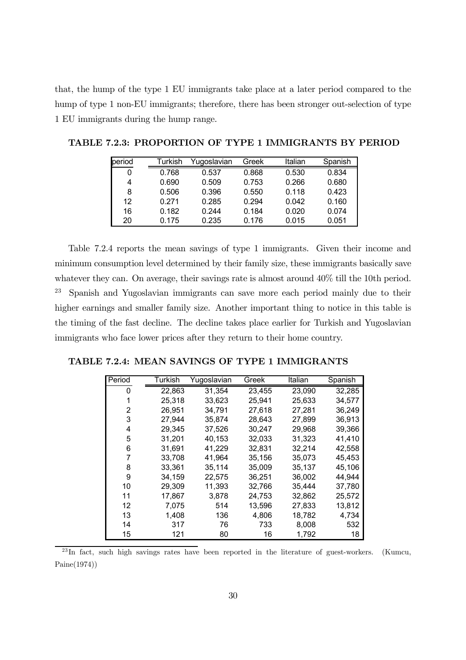that, the hump of the type 1 EU immigrants take place at a later period compared to the hump of type 1 non-EU immigrants; therefore, there has been stronger out-selection of type EU immigrants during the hump range.

| period | Turkish | Yugoslavian | Greek | Italian | Spanish |
|--------|---------|-------------|-------|---------|---------|
| 0      | 0.768   | 0.537       | 0.868 | 0.530   | 0.834   |
| 4      | 0.690   | 0.509       | 0.753 | 0.266   | 0.680   |
| 8      | 0.506   | 0.396       | 0.550 | 0.118   | 0.423   |
| 12     | 0.271   | 0.285       | 0.294 | 0.042   | 0.160   |
| 16     | 0.182   | 0.244       | 0.184 | 0.020   | 0.074   |
| 20     | 0.175   | 0.235       | 0.176 | 0.015   | 0.051   |

TABLE 7.2.3: PROPORTION OF TYPE 1 IMMIGRANTS BY PERIOD

Table 7.2.4 reports the mean savings of type 1 immigrants. Given their income and minimum consumption level determined by their family size, these immigrants basically save whatever they can. On average, their savings rate is almost around  $40\%$  till the 10th period. Spanish and Yugoslavian immigrants can save more each period mainly due to their higher earnings and smaller family size. Another important thing to notice in this table is the timing of the fast decline. The decline takes place earlier for Turkish and Yugoslavian immigrants who face lower prices after they return to their home country.

|  |  |  | TABLE 7.2.4: MEAN SAVINGS OF TYPE 1 IMMIGRANTS |  |
|--|--|--|------------------------------------------------|--|
|  |  |  | Italian Snanich                                |  |

| Period | Turkish | Yugoslavian | Greek  | Italian | Spanish |
|--------|---------|-------------|--------|---------|---------|
| 0      | 22,863  | 31,354      | 23,455 | 23,090  | 32,285  |
|        | 25,318  | 33,623      | 25,941 | 25,633  | 34,577  |
| 2      | 26,951  | 34,791      | 27,618 | 27,281  | 36,249  |
| 3      | 27,944  | 35,874      | 28,643 | 27,899  | 36,913  |
| 4      | 29,345  | 37,526      | 30,247 | 29,968  | 39,366  |
| 5      | 31,201  | 40,153      | 32,033 | 31,323  | 41,410  |
| 6      | 31,691  | 41,229      | 32,831 | 32,214  | 42,558  |
| 7      | 33,708  | 41,964      | 35,156 | 35,073  | 45,453  |
| 8      | 33,361  | 35,114      | 35,009 | 35,137  | 45,106  |
| 9      | 34,159  | 22,575      | 36,251 | 36,002  | 44,944  |
| 10     | 29,309  | 11,393      | 32,766 | 35,444  | 37,780  |
| 11     | 17,867  | 3,878       | 24,753 | 32,862  | 25,572  |
| 12     | 7,075   | 514         | 13,596 | 27,833  | 13,812  |
| 13     | 1,408   | 136         | 4,806  | 18,782  | 4,734   |
| 14     | 317     | 76          | 733    | 8,008   | 532     |
| 15     | 121     | 80          | 16     | 1,792   | 18      |

 $^{23}$ In fact, such high savings rates have been reported in the literature of guest-workers. (Kumcu, Paine(1974))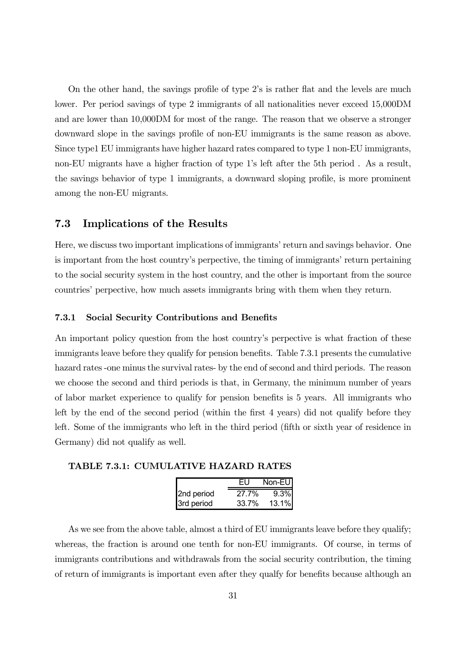On the other hand, the savings profile of type 2's is rather flat and the levels are much lower. Per period savings of type 2 immigrants of all nationalities never exceed 15,000DM and are lower than 10,000DM for most of the range. The reason that we observe a stronger downward slope in the savings profile of non-EU immigrants is the same reason as above. Since type1 EU immigrants have higher hazard rates compared to type 1 non-EU immigrants, non-EU migrants have a higher fraction of type 1's left after the 5th period. As a result, the savings behavior of type 1 immigrants, a downward sloping profile, is more prominent among the non-EU migrants.

### 7.3 Implications of the Results

Here, we discuss two important implications of immigrantsí return and savings behavior. One is important from the host country's perpective, the timing of immigrants' return pertaining to the social security system in the host country, and the other is important from the source countriesí perpective, how much assets immigrants bring with them when they return.

#### 7.3.1 Social Security Contributions and Benefits

An important policy question from the host country's perpective is what fraction of these immigrants leave before they qualify for pension benefits. Table 7.3.1 presents the cumulative hazard rates -one minus the survival rates- by the end of second and third periods. The reason we choose the second and third periods is that, in Germany, the minimum number of years of labor market experience to qualify for pension benefits is 5 years. All immigrants who left by the end of the second period (within the first 4 years) did not qualify before they left. Some of the immigrants who left in the third period (fifth or sixth year of residence in Germany) did not qualify as well.

TABLE 7.3.1: CUMULATIVE HAZARD RATES

|            | FIJ   | Non-EU  |
|------------|-------|---------|
| 2nd period | 27.7% | $9.3\%$ |
| 3rd period | 33.7% | 13.1%   |

As we see from the above table, almost a third of EU immigrants leave before they qualify; whereas, the fraction is around one tenth for non-EU immigrants. Of course, in terms of immigrants contributions and withdrawals from the social security contribution, the timing of return of immigrants is important even after they qualfy for benefits because although an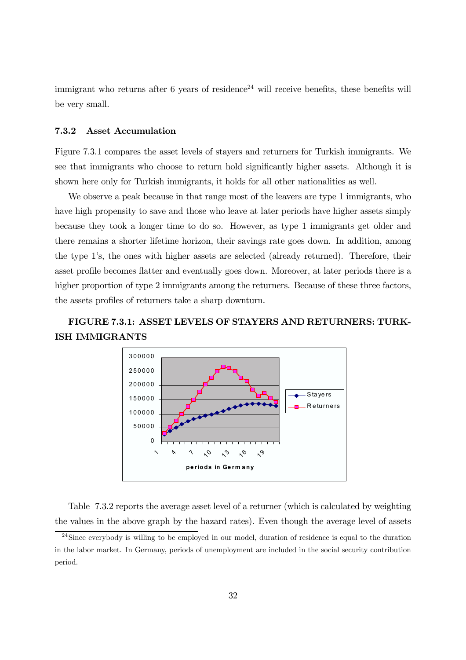immigrant who returns after 6 years of residence<sup>24</sup> will receive benefits, these benefits will be very small.

#### 7.3.2 Asset Accumulation

Figure 7.3.1 compares the asset levels of stayers and returners for Turkish immigrants. We see that immigrants who choose to return hold significantly higher assets. Although it is shown here only for Turkish immigrants, it holds for all other nationalities as well.

We observe a peak because in that range most of the leavers are type 1 immigrants, who have high propensity to save and those who leave at later periods have higher assets simply because they took a longer time to do so. However, as type 1 immigrants get older and there remains a shorter lifetime horizon, their savings rate goes down. In addition, among the type 1's, the ones with higher assets are selected (already returned). Therefore, their asset profile becomes flatter and eventually goes down. Moreover, at later periods there is a higher proportion of type 2 immigrants among the returners. Because of these three factors, the assets profiles of returners take a sharp downturn.

### FIGURE 7.3.1: ASSET LEVELS OF STAYERS AND RETURNERS: TURK-ISH IMMIGRANTS



Table 7.3.2 reports the average asset level of a returner (which is calculated by weighting the values in the above graph by the hazard rates). Even though the average level of assets

 $^{24}$ Since everybody is willing to be employed in our model, duration of residence is equal to the duration in the labor market. In Germany, periods of unemployment are included in the social security contribution period.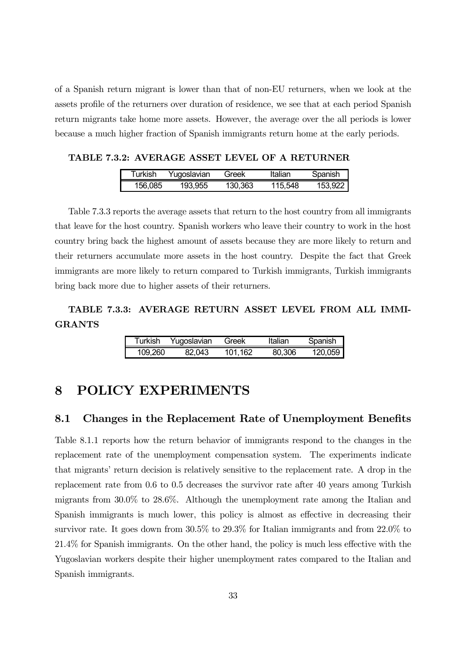of a Spanish return migrant is lower than that of non-EU returners, when we look at the assets profile of the returners over duration of residence, we see that at each period Spanish return migrants take home more assets. However, the average over the all periods is lower because a much higher fraction of Spanish immigrants return home at the early periods.

TABLE 7.3.2: AVERAGE ASSET LEVEL OF A RETURNER

| Turkish | Yugoslavian | Greek   | Italian | Spanish |
|---------|-------------|---------|---------|---------|
| 156.085 | 193,955     | 130.363 | 115.548 | 153.922 |

Table 7.3.3 reports the average assets that return to the host country from all immigrants that leave for the host country. Spanish workers who leave their country to work in the host country bring back the highest amount of assets because they are more likely to return and their returners accumulate more assets in the host country. Despite the fact that Greek immigrants are more likely to return compared to Turkish immigrants, Turkish immigrants bring back more due to higher assets of their returners.

### TABLE 7.3.3: AVERAGE RETURN ASSET LEVEL FROM ALL IMMI-GRANTS

| Turkish | Yugoslavian | Greek   | Italian | Spanish |
|---------|-------------|---------|---------|---------|
| 109.260 | 82.043      | 101.162 | 80.306  | 120.059 |

### 8 POLICY EXPERIMENTS

### 8.1 Changes in the Replacement Rate of Unemployment Benefits

Table 8.1.1 reports how the return behavior of immigrants respond to the changes in the replacement rate of the unemployment compensation system. The experiments indicate that migrantsí return decision is relatively sensitive to the replacement rate. A drop in the replacement rate from 0.6 to 0.5 decreases the survivor rate after 40 years among Turkish migrants from 30.0% to 28.6%. Although the unemployment rate among the Italian and Spanish immigrants is much lower, this policy is almost as effective in decreasing their survivor rate. It goes down from 30.5% to 29.3% for Italian immigrants and from 22.0% to  $21.4\%$  for Spanish immigrants. On the other hand, the policy is much less effective with the Yugoslavian workers despite their higher unemployment rates compared to the Italian and Spanish immigrants.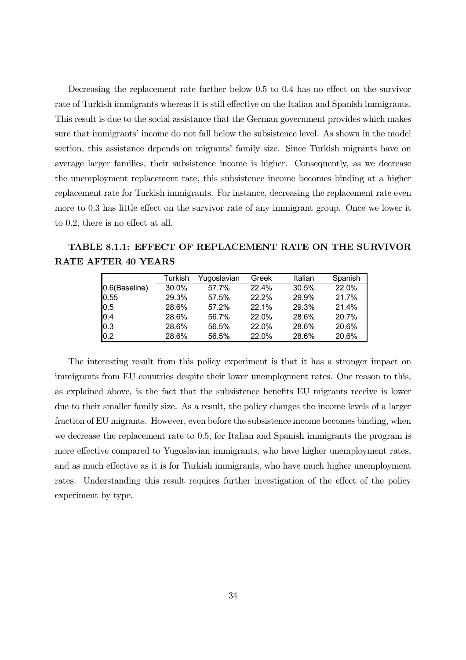Decreasing the replacement rate further below  $0.5$  to  $0.4$  has no effect on the survivor rate of Turkish immigrants whereas it is still effective on the Italian and Spanish immigrants. This result is due to the social assistance that the German government provides which makes sure that immigrants' income do not fall below the subsistence level. As shown in the model section, this assistance depends on migrants' family size. Since Turkish migrants have on average larger families, their subsistence income is higher. Consequently, as we decrease the unemployment replacement rate, this subsistence income becomes binding at a higher replacement rate for Turkish immigrants. For instance, decreasing the replacement rate even more to 0.3 has little effect on the survivor rate of any immigrant group. Once we lower it to  $0.2$ , there is no effect at all.

TABLE 8.1.1: EFFECT OF REPLACEMENT RATE ON THE SURVIVOR RATE AFTER 40 YEARS

|                                           | Turkish | Yugoslavian | Greek | Italian | Spanish |
|-------------------------------------------|---------|-------------|-------|---------|---------|
| 0.6(Baseline)                             | 30.0%   | 57.7%       | 22.4% | 30.5%   | 22.0%   |
| 0.55                                      | 29.3%   | 57.5%       | 22.2% | 29.9%   | 21.7%   |
| 0.5                                       | 28.6%   | 57.2%       | 22.1% | 29.3%   | 21.4%   |
| 0.4                                       | 28.6%   | 56.7%       | 22.0% | 28.6%   | 20.7%   |
| $\begin{array}{c} 0.3 \\ 0.2 \end{array}$ | 28.6%   | 56.5%       | 22.0% | 28.6%   | 20.6%   |
|                                           | 28.6%   | 56.5%       | 22.0% | 28.6%   | 20.6%   |

The interesting result from this policy experiment is that it has a stronger impact on immigrants from EU countries despite their lower unemployment rates. One reason to this, as explained above, is the fact that the subsistence benefits EU migrants receive is lower due to their smaller family size. As a result, the policy changes the income levels of a larger fraction of EU migrants. However, even before the subsistence income becomes binding, when we decrease the replacement rate to 0.5, for Italian and Spanish immigrants the program is more effective compared to Yugoslavian immigrants, who have higher unemployment rates, and as much effective as it is for Turkish immigrants, who have much higher unemployment rates. Understanding this result requires further investigation of the effect of the policy experiment by type.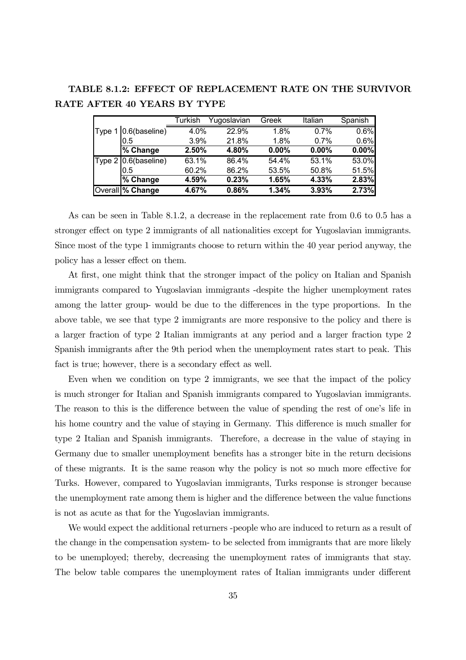TABLE 8.1.2: EFFECT OF REPLACEMENT RATE ON THE SURVIVOR RATE AFTER 40 YEARS BY TYPE

|                             | Turkish | Yugoslavian | Greek | Italian | Spanish |
|-----------------------------|---------|-------------|-------|---------|---------|
| Type 1 0.6(baseline)        | 4.0%    | 22.9%       | 1.8%  | 0.7%    | 0.6%    |
| 0.5                         | 3.9%    | 21.8%       | 1.8%  | 0.7%    | 0.6%    |
| $\sqrt{\frac{2}{6}}$ Change | 2.50%   | 4.80%       | 0.00% | 0.00%   | 0.00%   |
| Type 2 0.6(baseline)        | 63.1%   | 86.4%       | 54.4% | 53.1%   | 53.0%   |
| 0.5                         | 60.2%   | 86.2%       | 53.5% | 50.8%   | 51.5%   |
| $\sqrt{\frac{9}{6}}$ Change | 4.59%   | 0.23%       | 1.65% | 4.33%   | 2.83%   |
| Overall % Change            | 4.67%   | 0.86%       | 1.34% | 3.93%   | 2.73%   |

As can be seen in Table 8.1.2, a decrease in the replacement rate from 0.6 to 0.5 has a stronger effect on type 2 immigrants of all nationalities except for Yugoslavian immigrants. Since most of the type 1 immigrants choose to return within the 40 year period anyway, the policy has a lesser effect on them.

At first, one might think that the stronger impact of the policy on Italian and Spanish immigrants compared to Yugoslavian immigrants -despite the higher unemployment rates among the latter group- would be due to the differences in the type proportions. In the above table, we see that type 2 immigrants are more responsive to the policy and there is a larger fraction of type 2 Italian immigrants at any period and a larger fraction type 2 Spanish immigrants after the 9th period when the unemployment rates start to peak. This fact is true; however, there is a secondary effect as well.

Even when we condition on type 2 immigrants, we see that the impact of the policy is much stronger for Italian and Spanish immigrants compared to Yugoslavian immigrants. The reason to this is the difference between the value of spending the rest of one's life in his home country and the value of staying in Germany. This difference is much smaller for type 2 Italian and Spanish immigrants. Therefore, a decrease in the value of staying in Germany due to smaller unemployment benefits has a stronger bite in the return decisions of these migrants. It is the same reason why the policy is not so much more eective for Turks. However, compared to Yugoslavian immigrants, Turks response is stronger because the unemployment rate among them is higher and the difference between the value functions is not as acute as that for the Yugoslavian immigrants.

We would expect the additional returners -people who are induced to return as a result of the change in the compensation system- to be selected from immigrants that are more likely to be unemployed; thereby, decreasing the unemployment rates of immigrants that stay. The below table compares the unemployment rates of Italian immigrants under different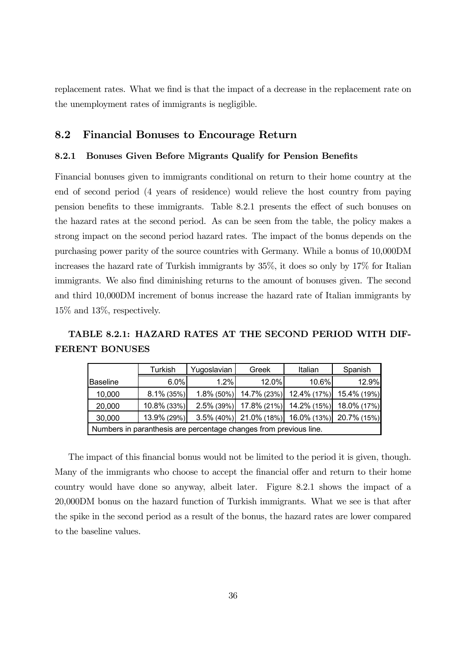replacement rates. What we find is that the impact of a decrease in the replacement rate on the unemployment rates of immigrants is negligible.

### 8.2 Financial Bonuses to Encourage Return

#### 8.2.1 Bonuses Given Before Migrants Qualify for Pension Benefits

Financial bonuses given to immigrants conditional on return to their home country at the end of second period (4 years of residence) would relieve the host country from paying pension benefits to these immigrants. Table 8.2.1 presents the effect of such bonuses on the hazard rates at the second period. As can be seen from the table, the policy makes a strong impact on the second period hazard rates. The impact of the bonus depends on the purchasing power parity of the source countries with Germany. While a bonus of 10,000DM increases the hazard rate of Turkish immigrants by 35%, it does so only by 17% for Italian immigrants. We also find diminishing returns to the amount of bonuses given. The second and third 10,000DM increment of bonus increase the hazard rate of Italian immigrants by 15% and 13%, respectively.

TABLE 8.2.1: HAZARD RATES AT THE SECOND PERIOD WITH DIF-FERENT BONUSES

|                                                                                      | Turkish       | Yugoslavian   | Greek | Italian                             | Spanish     |  |  |  |  |
|--------------------------------------------------------------------------------------|---------------|---------------|-------|-------------------------------------|-------------|--|--|--|--|
| <b>Baseline</b>                                                                      | 6.0%          | 1.2%          | 12.0% | 10.6%                               | 12.9%       |  |  |  |  |
| 10,000                                                                               | $8.1\%$ (35%) | $1.8\%$ (50%) |       | 14.7% (23%) 12.4% (17%) 15.4% (19%) |             |  |  |  |  |
| 20,000                                                                               | 10.8% (33%)   | $2.5\%$ (39%) |       | 17.8% (21%) 14.2% (15%)             | 18.0% (17%) |  |  |  |  |
| $3.5\%$ (40%) $\left[ 21.0\%$ (18%) 16.0% (13%) 20.7% (15%)<br>13.9% (29%)<br>30,000 |               |               |       |                                     |             |  |  |  |  |
| Numbers in paranthesis are percentage changes from previous line.                    |               |               |       |                                     |             |  |  |  |  |

The impact of this financial bonus would not be limited to the period it is given, though. Many of the immigrants who choose to accept the financial offer and return to their home country would have done so anyway, albeit later. Figure 8.2.1 shows the impact of a 20,000DM bonus on the hazard function of Turkish immigrants. What we see is that after the spike in the second period as a result of the bonus, the hazard rates are lower compared to the baseline values.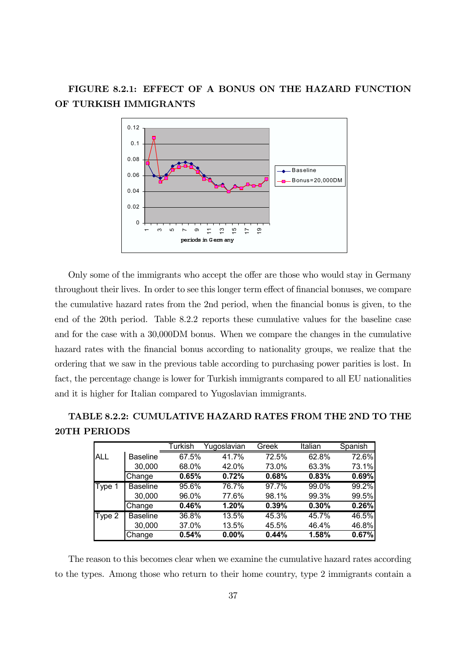### FIGURE 8.2.1: EFFECT OF A BONUS ON THE HAZARD FUNCTION OF TURKISH IMMIGRANTS



Only some of the immigrants who accept the offer are those who would stay in Germany throughout their lives. In order to see this longer term effect of financial bonuses, we compare the cumulative hazard rates from the 2nd period, when the financial bonus is given, to the end of the 20th period. Table 8.2.2 reports these cumulative values for the baseline case and for the case with a 30,000DM bonus. When we compare the changes in the cumulative hazard rates with the financial bonus according to nationality groups, we realize that the ordering that we saw in the previous table according to purchasing power parities is lost. In fact, the percentage change is lower for Turkish immigrants compared to all EU nationalities and it is higher for Italian compared to Yugoslavian immigrants.

### TABLE 8.2.2: CUMULATIVE HAZARD RATES FROM THE 2ND TO THE 20TH PERIODS

|        |                 | Turkish | Yugoslavian | Greek | Italian | Spanish |
|--------|-----------------|---------|-------------|-------|---------|---------|
| ALL    | <b>Baseline</b> | 67.5%   | 41.7%       | 72.5% | 62.8%   | 72.6%   |
|        | 30,000          | 68.0%   | 42.0%       | 73.0% | 63.3%   | 73.1%   |
|        | Change          | 0.65%   | 0.72%       | 0.68% | 0.83%   | 0.69%   |
| Type 1 | <b>Baseline</b> | 95.6%   | 76.7%       | 97.7% | 99.0%   | 99.2%   |
|        | 30,000          | 96.0%   | 77.6%       | 98.1% | 99.3%   | 99.5%   |
|        | Change          | 0.46%   | 1.20%       | 0.39% | 0.30%   | 0.26%   |
| Type 2 | <b>Baseline</b> | 36.8%   | 13.5%       | 45.3% | 45.7%   | 46.5%   |
|        | 30,000          | 37.0%   | 13.5%       | 45.5% | 46.4%   | 46.8%   |
|        | Change          | 0.54%   | $0.00\%$    | 0.44% | 1.58%   | 0.67%   |

The reason to this becomes clear when we examine the cumulative hazard rates according to the types. Among those who return to their home country, type 2 immigrants contain a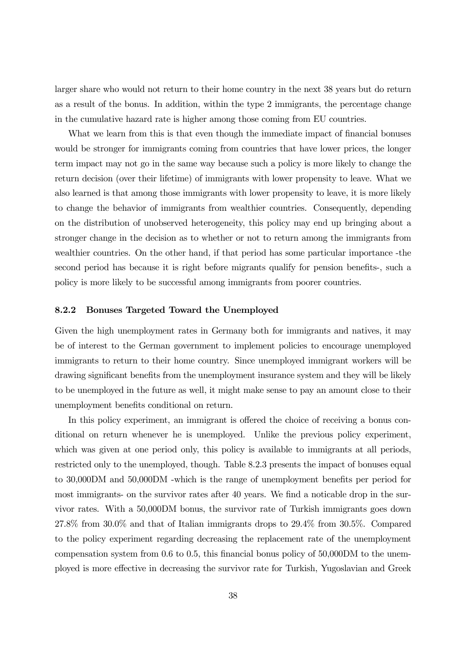larger share who would not return to their home country in the next 38 years but do return as a result of the bonus. In addition, within the type 2 immigrants, the percentage change in the cumulative hazard rate is higher among those coming from EU countries.

What we learn from this is that even though the immediate impact of financial bonuses would be stronger for immigrants coming from countries that have lower prices, the longer term impact may not go in the same way because such a policy is more likely to change the return decision (over their lifetime) of immigrants with lower propensity to leave. What we also learned is that among those immigrants with lower propensity to leave, it is more likely to change the behavior of immigrants from wealthier countries. Consequently, depending on the distribution of unobserved heterogeneity, this policy may end up bringing about a stronger change in the decision as to whether or not to return among the immigrants from wealthier countries. On the other hand, if that period has some particular importance -the second period has because it is right before migrants qualify for pension benefits-, such a policy is more likely to be successful among immigrants from poorer countries.

#### 8.2.2 Bonuses Targeted Toward the Unemployed

Given the high unemployment rates in Germany both for immigrants and natives, it may be of interest to the German government to implement policies to encourage unemployed immigrants to return to their home country. Since unemployed immigrant workers will be drawing significant benefits from the unemployment insurance system and they will be likely to be unemployed in the future as well, it might make sense to pay an amount close to their unemployment benefits conditional on return.

In this policy experiment, an immigrant is offered the choice of receiving a bonus conditional on return whenever he is unemployed. Unlike the previous policy experiment, which was given at one period only, this policy is available to immigrants at all periods, restricted only to the unemployed, though. Table 8.2.3 presents the impact of bonuses equal to 30,000DM and 50,000DM -which is the range of unemployment benefits per period for most immigrants- on the survivor rates after 40 years. We find a noticable drop in the survivor rates. With a 50,000DM bonus, the survivor rate of Turkish immigrants goes down 27.8% from 30.0% and that of Italian immigrants drops to 29.4% from 30.5%. Compared to the policy experiment regarding decreasing the replacement rate of the unemployment compensation system from 0.6 to 0.5, this financial bonus policy of 50,000DM to the unemployed is more effective in decreasing the survivor rate for Turkish, Yugoslavian and Greek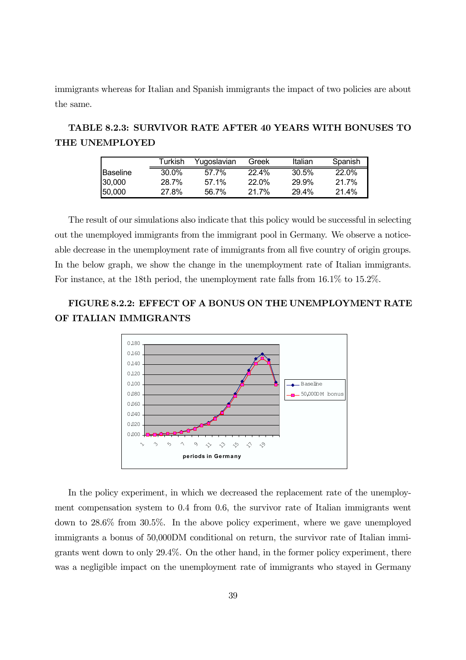immigrants whereas for Italian and Spanish immigrants the impact of two policies are about the same.

### TABLE 8.2.3: SURVIVOR RATE AFTER 40 YEARS WITH BONUSES TO THE UNEMPLOYED

|                 | Turkish | Yuqoslavian | Greek    | Italian | Spanish      |
|-----------------|---------|-------------|----------|---------|--------------|
| <b>Baseline</b> | 30.0%   | 57.7%       | $22.4\%$ | 30.5%   | <b>22.0%</b> |
| 30.000          | 28.7%   | $57.1\%$    | 22.0%    | 29.9%   | 21.7%        |
| 150.000         | 27.8%   | 56.7%       | $21.7\%$ | 29.4%   | 21.4%        |

The result of our simulations also indicate that this policy would be successful in selecting out the unemployed immigrants from the immigrant pool in Germany. We observe a noticeable decrease in the unemployment rate of immigrants from all five country of origin groups. In the below graph, we show the change in the unemployment rate of Italian immigrants. For instance, at the 18th period, the unemployment rate falls from 16.1% to 15.2%.

### FIGURE 8.2.2: EFFECT OF A BONUS ON THE UNEMPLOYMENT RATE OF ITALIAN IMMIGRANTS



In the policy experiment, in which we decreased the replacement rate of the unemployment compensation system to 0.4 from 0.6, the survivor rate of Italian immigrants went down to 28.6% from 30.5%. In the above policy experiment, where we gave unemployed immigrants a bonus of 50,000DM conditional on return, the survivor rate of Italian immigrants went down to only 29.4%. On the other hand, in the former policy experiment, there was a negligible impact on the unemployment rate of immigrants who stayed in Germany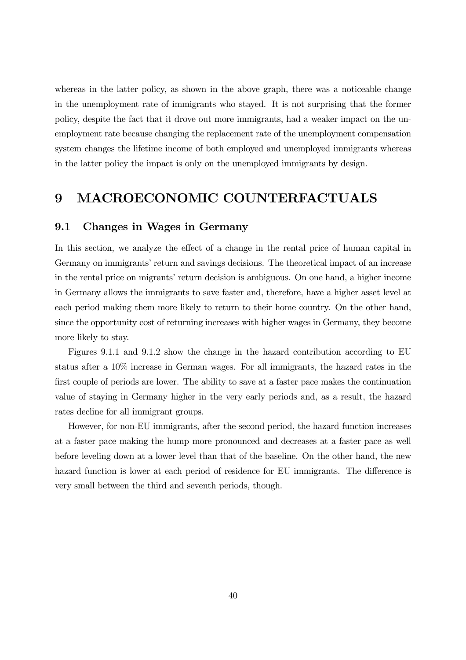whereas in the latter policy, as shown in the above graph, there was a noticeable change in the unemployment rate of immigrants who stayed. It is not surprising that the former policy, despite the fact that it drove out more immigrants, had a weaker impact on the unemployment rate because changing the replacement rate of the unemployment compensation system changes the lifetime income of both employed and unemployed immigrants whereas in the latter policy the impact is only on the unemployed immigrants by design.

### 9 MACROECONOMIC COUNTERFACTUALS

#### 9.1 Changes in Wages in Germany

In this section, we analyze the effect of a change in the rental price of human capital in Germany on immigrants' return and savings decisions. The theoretical impact of an increase in the rental price on migrants' return decision is ambiguous. On one hand, a higher income in Germany allows the immigrants to save faster and, therefore, have a higher asset level at each period making them more likely to return to their home country. On the other hand, since the opportunity cost of returning increases with higher wages in Germany, they become more likely to stay.

Figures 9.1.1 and 9.1.2 show the change in the hazard contribution according to EU status after a 10% increase in German wages. For all immigrants, the hazard rates in the first couple of periods are lower. The ability to save at a faster pace makes the continuation value of staying in Germany higher in the very early periods and, as a result, the hazard rates decline for all immigrant groups.

However, for non-EU immigrants, after the second period, the hazard function increases at a faster pace making the hump more pronounced and decreases at a faster pace as well before leveling down at a lower level than that of the baseline. On the other hand, the new hazard function is lower at each period of residence for EU immigrants. The difference is very small between the third and seventh periods, though.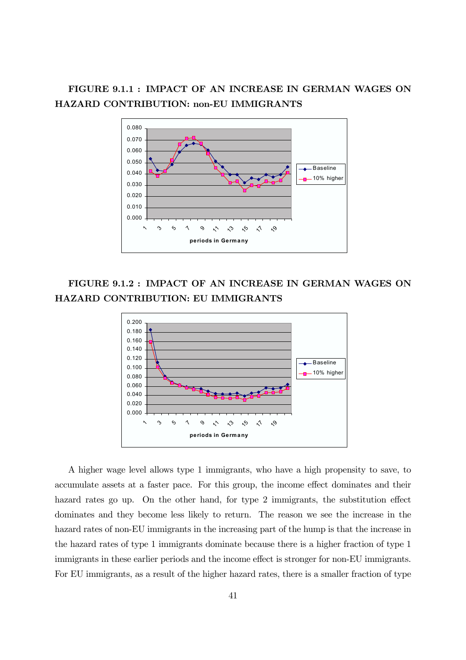### FIGURE 9.1.1 : IMPACT OF AN INCREASE IN GERMAN WAGES ON HAZARD CONTRIBUTION: non-EU IMMIGRANTS



FIGURE 9.1.2 : IMPACT OF AN INCREASE IN GERMAN WAGES ON HAZARD CONTRIBUTION: EU IMMIGRANTS



A higher wage level allows type 1 immigrants, who have a high propensity to save, to accumulate assets at a faster pace. For this group, the income effect dominates and their hazard rates go up. On the other hand, for type  $2$  immigrants, the substitution effect dominates and they become less likely to return. The reason we see the increase in the hazard rates of non-EU immigrants in the increasing part of the hump is that the increase in the hazard rates of type 1 immigrants dominate because there is a higher fraction of type 1 immigrants in these earlier periods and the income effect is stronger for non-EU immigrants. For EU immigrants, as a result of the higher hazard rates, there is a smaller fraction of type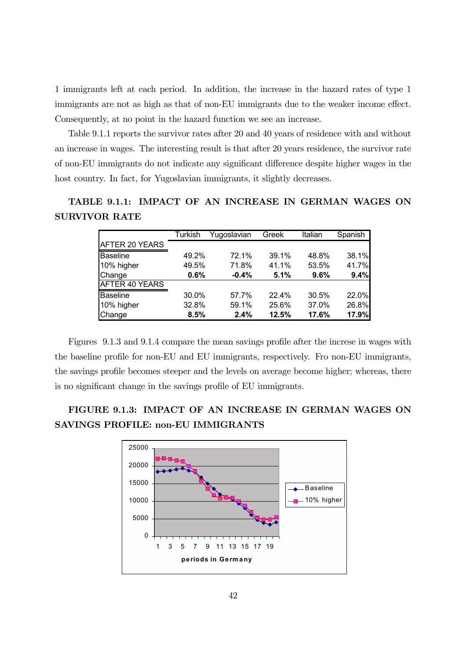1 immigrants left at each period. In addition, the increase in the hazard rates of type 1 immigrants are not as high as that of non-EU immigrants due to the weaker income effect. Consequently, at no point in the hazard function we see an increase.

Table 9.1.1 reports the survivor rates after 20 and 40 years of residence with and without an increase in wages. The interesting result is that after 20 years residence, the survivor rate of non-EU immigrants do not indicate any significant difference despite higher wages in the host country. In fact, for Yugoslavian immigrants, it slightly decreases.

### TABLE 9.1.1: IMPACT OF AN INCREASE IN GERMAN WAGES ON SURVIVOR RATE

|                       | <b>Turkish</b> | Yugoslavian | Greek | Italian | Spanish |
|-----------------------|----------------|-------------|-------|---------|---------|
| AFTER 20 YEARS        |                |             |       |         |         |
| <b>Baseline</b>       | 49.2%          | 72.1%       | 39.1% | 48.8%   | 38.1%   |
| 10% higher            | 49.5%          | 71.8%       | 41.1% | 53.5%   | 41.7%   |
| Change                | 0.6%           | $-0.4%$     | 5.1%  | 9.6%    | 9.4%    |
| <b>AFTER 40 YEARS</b> |                |             |       |         |         |
| <b>Baseline</b>       | 30.0%          | 57.7%       | 22.4% | 30.5%   | 22.0%   |
| 10% higher            | 32.8%          | 59.1%       | 25.6% | 37.0%   | 26.8%   |
| Change                | 8.5%           | 2.4%        | 12.5% | 17.6%   | 17.9%   |

Figures 9.1.3 and 9.1.4 compare the mean savings profile after the increse in wages with the baseline profile for non-EU and EU immigrants, respectively. Fro non-EU immigrants, the savings profile becomes steeper and the levels on average become higher; whereas, there is no significant change in the savings profile of EU immigrants.

### FIGURE 9.1.3: IMPACT OF AN INCREASE IN GERMAN WAGES ON SAVINGS PROFILE: non-EU IMMIGRANTS

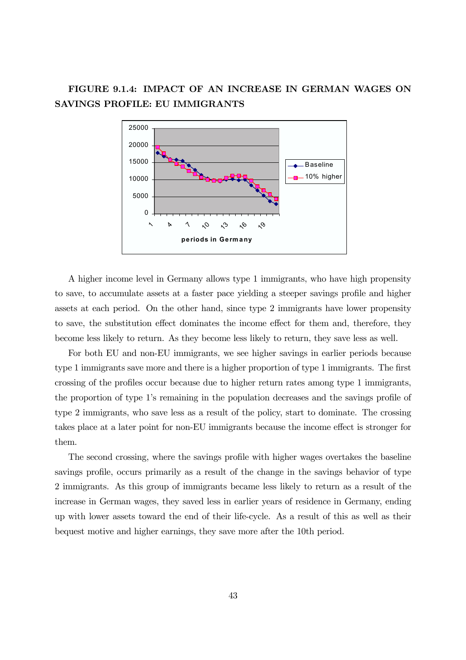### FIGURE 9.1.4: IMPACT OF AN INCREASE IN GERMAN WAGES ON SAVINGS PROFILE: EU IMMIGRANTS



A higher income level in Germany allows type 1 immigrants, who have high propensity to save, to accumulate assets at a faster pace yielding a steeper savings profile and higher assets at each period. On the other hand, since type 2 immigrants have lower propensity to save, the substitution effect dominates the income effect for them and, therefore, they become less likely to return. As they become less likely to return, they save less as well.

For both EU and non-EU immigrants, we see higher savings in earlier periods because type 1 immigrants save more and there is a higher proportion of type 1 immigrants. The first crossing of the profiles occur because due to higher return rates among type 1 immigrants, the proportion of type 1ís remaining in the population decreases and the savings profile of type 2 immigrants, who save less as a result of the policy, start to dominate. The crossing takes place at a later point for non-EU immigrants because the income effect is stronger for them.

The second crossing, where the savings profile with higher wages overtakes the baseline savings profile, occurs primarily as a result of the change in the savings behavior of type 2 immigrants. As this group of immigrants became less likely to return as a result of the increase in German wages, they saved less in earlier years of residence in Germany, ending up with lower assets toward the end of their life-cycle. As a result of this as well as their bequest motive and higher earnings, they save more after the 10th period.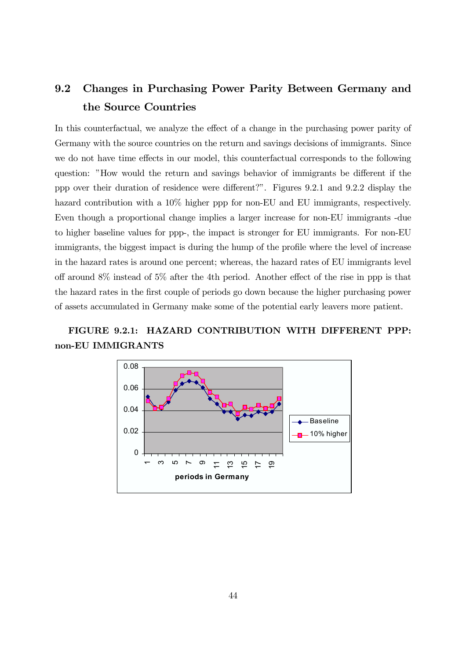### 9.2 Changes in Purchasing Power Parity Between Germany and the Source Countries

In this counterfactual, we analyze the effect of a change in the purchasing power parity of Germany with the source countries on the return and savings decisions of immigrants. Since we do not have time effects in our model, this counterfactual corresponds to the following question: "How would the return and savings behavior of immigrants be different if the ppp over their duration of residence were different?". Figures 9.2.1 and 9.2.2 display the hazard contribution with a  $10\%$  higher ppp for non-EU and EU immigrants, respectively. Even though a proportional change implies a larger increase for non-EU immigrants -due to higher baseline values for ppp-, the impact is stronger for EU immigrants. For non-EU immigrants, the biggest impact is during the hump of the profile where the level of increase in the hazard rates is around one percent; whereas, the hazard rates of EU immigrants level off around  $8\%$  instead of  $5\%$  after the 4th period. Another effect of the rise in ppp is that the hazard rates in the first couple of periods go down because the higher purchasing power of assets accumulated in Germany make some of the potential early leavers more patient.

### FIGURE 9.2.1: HAZARD CONTRIBUTION WITH DIFFERENT PPP: non-EU IMMIGRANTS

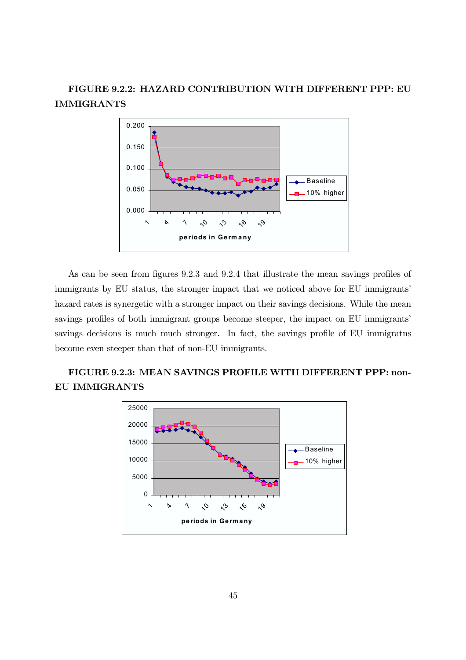### FIGURE 9.2.2: HAZARD CONTRIBUTION WITH DIFFERENT PPP: EU IMMIGRANTS



As can be seen from figures 9.2.3 and 9.2.4 that illustrate the mean savings profiles of immigrants by EU status, the stronger impact that we noticed above for EU immigrants' hazard rates is synergetic with a stronger impact on their savings decisions. While the mean savings profiles of both immigrant groups become steeper, the impact on EU immigrants' savings decisions is much much stronger. In fact, the savings profile of EU immigratns become even steeper than that of non-EU immigrants.

### FIGURE 9.2.3: MEAN SAVINGS PROFILE WITH DIFFERENT PPP: non-EU IMMIGRANTS

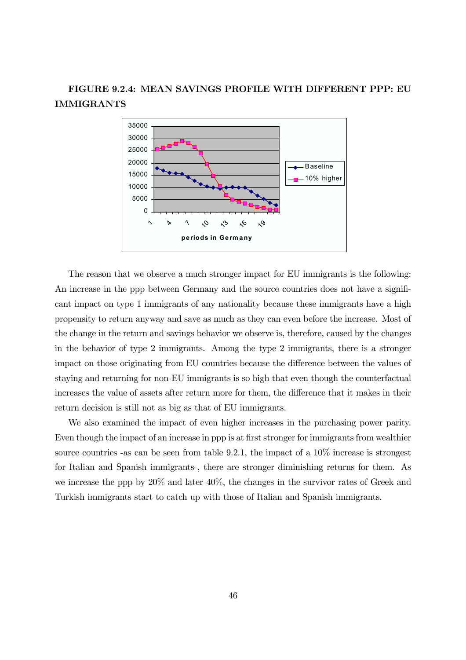### FIGURE 9.2.4: MEAN SAVINGS PROFILE WITH DIFFERENT PPP: EU IMMIGRANTS



The reason that we observe a much stronger impact for EU immigrants is the following: An increase in the ppp between Germany and the source countries does not have a significant impact on type 1 immigrants of any nationality because these immigrants have a high propensity to return anyway and save as much as they can even before the increase. Most of the change in the return and savings behavior we observe is, therefore, caused by the changes in the behavior of type 2 immigrants. Among the type 2 immigrants, there is a stronger impact on those originating from EU countries because the difference between the values of staying and returning for non-EU immigrants is so high that even though the counterfactual increases the value of assets after return more for them, the difference that it makes in their return decision is still not as big as that of EU immigrants.

We also examined the impact of even higher increases in the purchasing power parity. Even though the impact of an increase in ppp is at first stronger for immigrants from wealthier source countries -as can be seen from table 9.2.1, the impact of a 10% increase is strongest for Italian and Spanish immigrants-, there are stronger diminishing returns for them. As we increase the ppp by 20% and later 40%, the changes in the survivor rates of Greek and Turkish immigrants start to catch up with those of Italian and Spanish immigrants.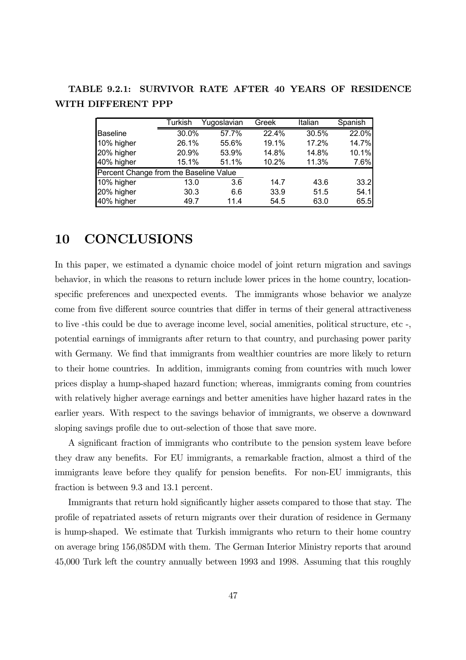TABLE 9.2.1: SURVIVOR RATE AFTER 40 YEARS OF RESIDENCE WITH DIFFERENT PPP

|                                        | Turkish | Yugoslavian | Greek | Italian | Spanish |
|----------------------------------------|---------|-------------|-------|---------|---------|
| <b>Baseline</b>                        | 30.0%   | 57.7%       | 22.4% | 30.5%   | 22.0%   |
| 10% higher                             | 26.1%   | 55.6%       | 19.1% | 17.2%   | 14.7%   |
| 20% higher                             | 20.9%   |             | 14.8% | 14.8%   | 10.1%   |
| 40% higher                             | 15.1%   | 51.1%       | 10.2% | 11.3%   | 7.6%    |
| Percent Change from the Baseline Value |         |             |       |         |         |
| 10% higher                             | 13.0    | 3.6         | 14.7  | 43.6    | 33.2    |
| 20% higher                             | 30.3    | 6.6         | 33.9  | 51.5    | 54.1    |
| 40% higher<br>49.7                     |         | 11.4        | 54.5  | 63.0    | 65.5    |

### 10 CONCLUSIONS

In this paper, we estimated a dynamic choice model of joint return migration and savings behavior, in which the reasons to return include lower prices in the home country, locationspecific preferences and unexpected events. The immigrants whose behavior we analyze come from five different source countries that differ in terms of their general attractiveness to live -this could be due to average income level, social amenities, political structure, etc -, potential earnings of immigrants after return to that country, and purchasing power parity with Germany. We find that immigrants from wealthier countries are more likely to return to their home countries. In addition, immigrants coming from countries with much lower prices display a hump-shaped hazard function; whereas, immigrants coming from countries with relatively higher average earnings and better amenities have higher hazard rates in the earlier years. With respect to the savings behavior of immigrants, we observe a downward sloping savings profile due to out-selection of those that save more.

A significant fraction of immigrants who contribute to the pension system leave before they draw any benefits. For EU immigrants, a remarkable fraction, almost a third of the immigrants leave before they qualify for pension benefits. For non-EU immigrants, this fraction is between 9.3 and 13.1 percent.

Immigrants that return hold significantly higher assets compared to those that stay. The profile of repatriated assets of return migrants over their duration of residence in Germany is hump-shaped. We estimate that Turkish immigrants who return to their home country on average bring 156,085DM with them. The German Interior Ministry reports that around 45,000 Turk left the country annually between 1993 and 1998. Assuming that this roughly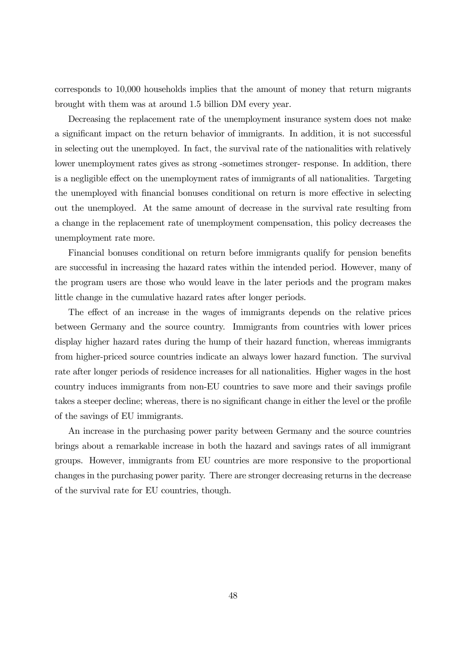corresponds to 10,000 households implies that the amount of money that return migrants brought with them was at around 1.5 billion DM every year.

Decreasing the replacement rate of the unemployment insurance system does not make a significant impact on the return behavior of immigrants. In addition, it is not successful in selecting out the unemployed. In fact, the survival rate of the nationalities with relatively lower unemployment rates gives as strong -sometimes stronger- response. In addition, there is a negligible effect on the unemployment rates of immigrants of all nationalities. Targeting the unemployed with financial bonuses conditional on return is more effective in selecting out the unemployed. At the same amount of decrease in the survival rate resulting from a change in the replacement rate of unemployment compensation, this policy decreases the unemployment rate more.

Financial bonuses conditional on return before immigrants qualify for pension benefits are successful in increasing the hazard rates within the intended period. However, many of the program users are those who would leave in the later periods and the program makes little change in the cumulative hazard rates after longer periods.

The effect of an increase in the wages of immigrants depends on the relative prices between Germany and the source country. Immigrants from countries with lower prices display higher hazard rates during the hump of their hazard function, whereas immigrants from higher-priced source countries indicate an always lower hazard function. The survival rate after longer periods of residence increases for all nationalities. Higher wages in the host country induces immigrants from non-EU countries to save more and their savings profile takes a steeper decline; whereas, there is no significant change in either the level or the profile of the savings of EU immigrants.

An increase in the purchasing power parity between Germany and the source countries brings about a remarkable increase in both the hazard and savings rates of all immigrant groups. However, immigrants from EU countries are more responsive to the proportional changes in the purchasing power parity. There are stronger decreasing returns in the decrease of the survival rate for EU countries, though.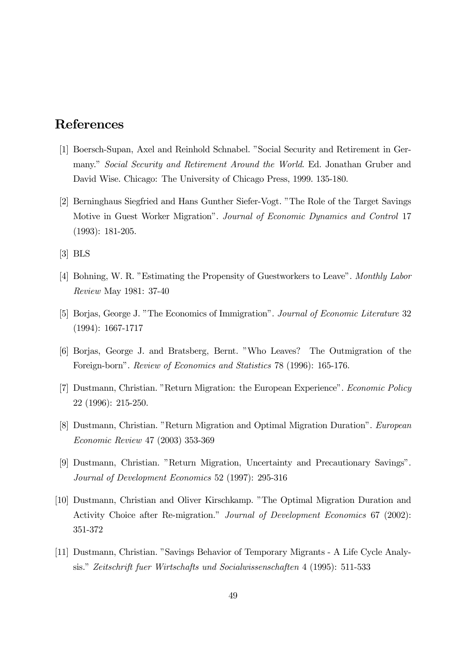### References

- [1] Boersch-Supan, Axel and Reinhold Schnabel. "Social Security and Retirement in Germany." Social Security and Retirement Around the World. Ed. Jonathan Gruber and David Wise. Chicago: The University of Chicago Press, 1999. 135-180.
- [2] Berninghaus Siegfried and Hans Gunther Siefer-Vogt. "The Role of the Target Savings" Motive in Guest Worker Migrationî. Journal of Economic Dynamics and Control 17 (1993): 181-205.
- [3] BLS
- [4] Bohning, W. R. "Estimating the Propensity of Guestworkers to Leave". Monthly Labor Review May 1981: 37-40
- [5] Borjas, George J. "The Economics of Immigration". Journal of Economic Literature 32 (1994): 1667-1717
- [6] Borjas, George J. and Bratsberg, Bernt. îWho Leaves? The Outmigration of the Foreign-born". Review of Economics and Statistics 78 (1996): 165-176.
- [7] Dustmann, Christian. "Return Migration: the European Experience". Economic Policy 22 (1996): 215-250.
- [8] Dustmann, Christian. "Return Migration and Optimal Migration Duration". European Economic Review 47 (2003) 353-369
- [9] Dustmann, Christian. "Return Migration, Uncertainty and Precautionary Savings". Journal of Development Economics 52 (1997): 295-316
- [10] Dustmann, Christian and Oliver Kirschkamp. "The Optimal Migration Duration and Activity Choice after Re-migration." Journal of Development Economics 67 (2002): 351-372
- [11] Dustmann, Christian. "Savings Behavior of Temporary Migrants A Life Cycle Analysis." Zeitschrift fuer Wirtschafts und Socialwissenschaften 4 (1995): 511-533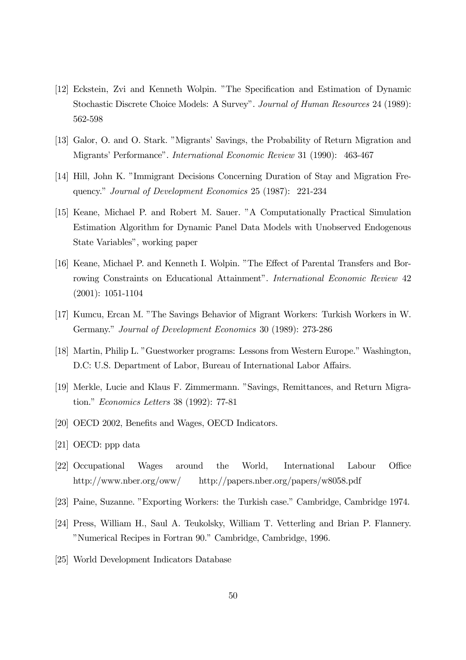- [12] Eckstein, Zvi and Kenneth Wolpin. îThe Specification and Estimation of Dynamic Stochastic Discrete Choice Models: A Survey". Journal of Human Resources 24 (1989): 562-598
- [13] Galor, O. and O. Stark. "Migrants' Savings, the Probability of Return Migration and Migrantsí Performanceî. International Economic Review 31 (1990): 463-467
- [14] Hill, John K. "Immigrant Decisions Concerning Duration of Stay and Migration Frequency." Journal of Development Economics 25 (1987): 221-234
- [15] Keane, Michael P. and Robert M. Sauer. "A Computationally Practical Simulation Estimation Algorithm for Dynamic Panel Data Models with Unobserved Endogenous State Variables", working paper
- [16] Keane, Michael P. and Kenneth I. Wolpin. "The Effect of Parental Transfers and Borrowing Constraints on Educational Attainment". International Economic Review 42 (2001): 1051-1104
- [17] Kumcu, Ercan M. "The Savings Behavior of Migrant Workers: Turkish Workers in W. Germany." Journal of Development Economics 30 (1989): 273-286
- [18] Martin, Philip L. "Guestworker programs: Lessons from Western Europe." Washington, D.C: U.S. Department of Labor, Bureau of International Labor Affairs.
- [19] Merkle, Lucie and Klaus F. Zimmermann. "Savings, Remittances, and Return Migration.î Economics Letters 38 (1992): 77-81
- [20] OECD 2002, Benefits and Wages, OECD Indicators.
- [21] OECD: ppp data
- [22] Occupational Wages around the World, International Labour Office http://www.nber.org/oww/ http://papers.nber.org/papers/w8058.pdf
- [23] Paine, Suzanne. "Exporting Workers: the Turkish case." Cambridge, Cambridge 1974.
- [24] Press, William H., Saul A. Teukolsky, William T. Vetterling and Brian P. Flannery. îNumerical Recipes in Fortran 90.î Cambridge, Cambridge, 1996.
- [25] World Development Indicators Database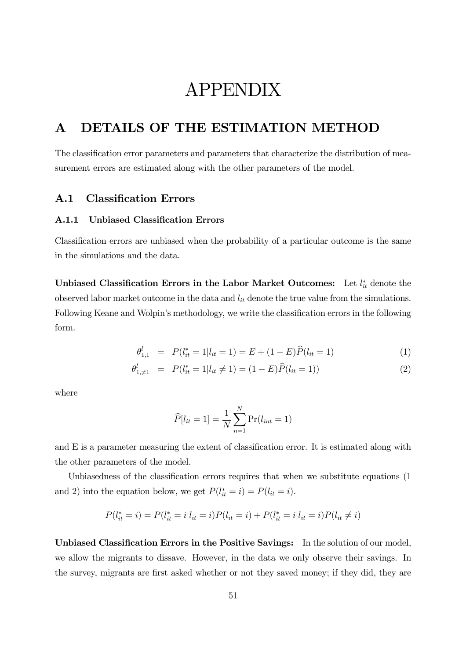# APPENDIX

### A DETAILS OF THE ESTIMATION METHOD

The classification error parameters and parameters that characterize the distribution of measurement errors are estimated along with the other parameters of the model.

#### A.1 Classification Errors

#### A.1.1 Unbiased Classification Errors

Classification errors are unbiased when the probability of a particular outcome is the same in the simulations and the data.

Unbiased Classification Errors in the Labor Market Outcomes: Let  $l_{it}^*$  denote the observed labor market outcome in the data and  $l_{it}$  denote the true value from the simulations. Following Keane and Wolpin's methodology, we write the classification errors in the following form.

$$
\theta_{1,1}^l = P(l_{it}^* = 1 | l_{it} = 1) = E + (1 - E)\widehat{P}(l_{it} = 1)
$$
\n(1)

$$
\theta_{1,\neq 1}^l = P(l_{it}^* = 1 | l_{it} \neq 1) = (1 - E)\widehat{P}(l_{it} = 1))
$$
\n(2)

where

$$
\widehat{P}[l_{it} = 1] = \frac{1}{N} \sum_{n=1}^{N} \Pr(l_{int} = 1)
$$

and E is a parameter measuring the extent of classification error. It is estimated along with the other parameters of the model.

Unbiasedness of the classification errors requires that when we substitute equations (1 and 2) into the equation below, we get  $P(l_{it}^* = i) = P(l_{it} = i)$ .

$$
P(l_{it}^* = i) = P(l_{it}^* = i | l_{it} = i) P(l_{it} = i) + P(l_{it}^* = i | l_{it} = i) P(l_{it} \neq i)
$$

Unbiased Classification Errors in the Positive Savings: In the solution of our model, we allow the migrants to dissave. However, in the data we only observe their savings. In the survey, migrants are first asked whether or not they saved money; if they did, they are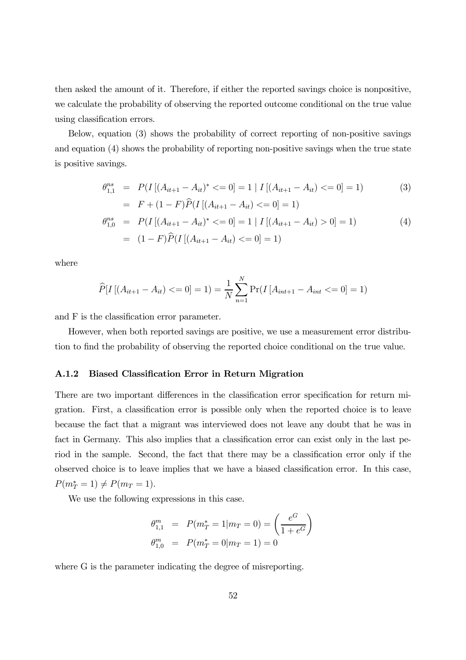then asked the amount of it. Therefore, if either the reported savings choice is nonpositive, we calculate the probability of observing the reported outcome conditional on the true value using classification errors.

Below, equation (3) shows the probability of correct reporting of non-positive savings and equation (4) shows the probability of reporting non-positive savings when the true state is positive savings.

$$
\theta_{1,1}^{ns} = P(I[(A_{it+1} - A_{it})^* <= 0] = 1 | I[(A_{it+1} - A_{it}) <= 0] = 1) \tag{3}
$$
\n
$$
= F + (1 - F)\widehat{P}(I[(A_{it+1} - A_{it}) <= 0] = 1)
$$

$$
\theta_{1,0}^{ns} = P(I[(A_{it+1} - A_{it})^* <= 0] = 1 | I[(A_{it+1} - A_{it}) > 0] = 1)
$$
\n
$$
= (1 - F)\widehat{P}(I[(A_{it+1} - A_{it}) <= 0] = 1)
$$
\n
$$
(4)
$$

where

$$
\widehat{P}[I\left[(A_{it+1} - A_{it}) \right] <= 0] = 1) = \frac{1}{N} \sum_{n=1}^{N} \Pr(I\left[A_{int+1} - A_{int} \right] <= 0] = 1)
$$

and F is the classification error parameter.

However, when both reported savings are positive, we use a measurement error distribution to find the probability of observing the reported choice conditional on the true value.

#### A.1.2 Biased Classification Error in Return Migration

There are two important differences in the classification error specification for return migration. First, a classification error is possible only when the reported choice is to leave because the fact that a migrant was interviewed does not leave any doubt that he was in fact in Germany. This also implies that a classification error can exist only in the last period in the sample. Second, the fact that there may be a classification error only if the observed choice is to leave implies that we have a biased classification error. In this case,  $P(m_T^* = 1) \neq P(m_T = 1).$ 

We use the following expressions in this case.

$$
\theta_{1,1}^m = P(m_T^* = 1 | m_T = 0) = \left(\frac{e^G}{1 + e^G}\right)
$$
  

$$
\theta_{1,0}^m = P(m_T^* = 0 | m_T = 1) = 0
$$

where G is the parameter indicating the degree of misreporting.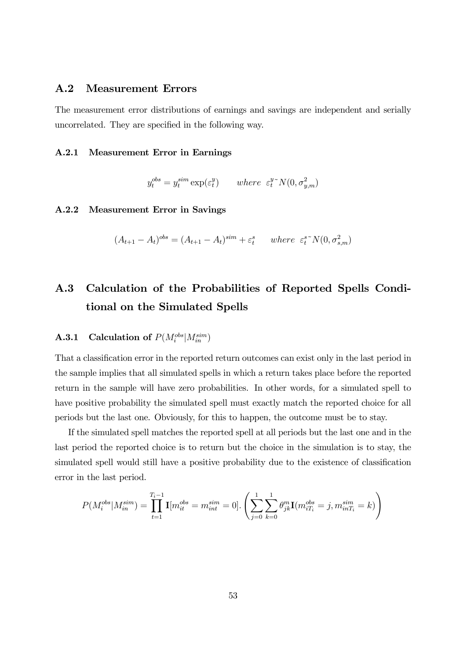#### A.2 Measurement Errors

The measurement error distributions of earnings and savings are independent and serially uncorrelated. They are specified in the following way.

#### A.2.1 Measurement Error in Earnings

$$
y_t^{obs} = y_t^{sim} \exp(\varepsilon_t^y) \qquad where \ \ \varepsilon_t^{y \sim} N(0, \sigma_{y,m}^2)
$$

#### A.2.2 Measurement Error in Savings

$$
(A_{t+1} - A_t)^{obs} = (A_{t+1} - A_t)^{sim} + \varepsilon_t^s \quad \text{where } \varepsilon_t^{s} \sim N(0, \sigma_{s,m}^2)
$$

### A.3 Calculation of the Probabilities of Reported Spells Conditional on the Simulated Spells

### **A.3.1** Calculation of  $P(M_i^{obs}|M_{in}^{sim})$

That a classification error in the reported return outcomes can exist only in the last period in the sample implies that all simulated spells in which a return takes place before the reported return in the sample will have zero probabilities. In other words, for a simulated spell to have positive probability the simulated spell must exactly match the reported choice for all periods but the last one. Obviously, for this to happen, the outcome must be to stay.

If the simulated spell matches the reported spell at all periods but the last one and in the last period the reported choice is to return but the choice in the simulation is to stay, the simulated spell would still have a positive probability due to the existence of classification error in the last period.

$$
P(M_i^{obs}|M_{in}^{sim}) = \prod_{t=1}^{T_i-1} \mathbf{I}[m_{it}^{obs} = m_{int}^{sim} = 0]. \left( \sum_{j=0}^{1} \sum_{k=0}^{1} \theta_{jk}^{m} \mathbf{I}(m_{iT_i}^{obs} = j, m_{inT_i}^{sim} = k) \right)
$$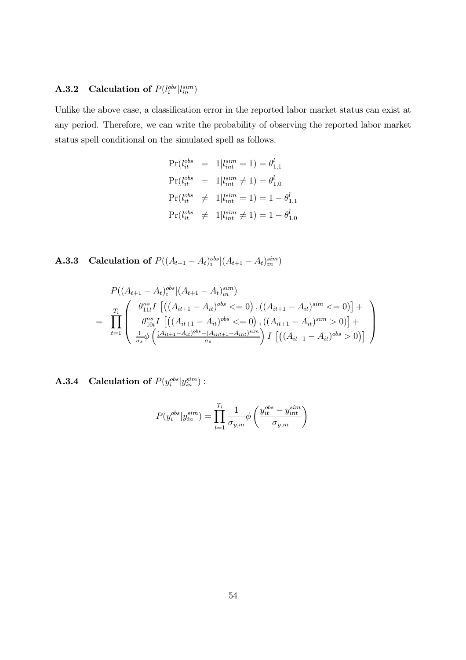### **A.3.2** Calculation of  $P(l_i^{obs}|l_{in}^{sim})$

Unlike the above case, a classification error in the reported labor market status can exist at any period. Therefore, we can write the probability of observing the reported labor market status spell conditional on the simulated spell as follows.

$$
Pr(l_{it}^{obs} = 1|l_{int}^{sim} = 1) = \theta_{1,1}^{l}
$$
  
\n
$$
Pr(l_{it}^{obs} = 1|l_{int}^{sim} \neq 1) = \theta_{1,0}^{l}
$$
  
\n
$$
Pr(l_{it}^{obs} \neq 1|l_{int}^{sim} = 1) = 1 - \theta_{1,1}^{l}
$$
  
\n
$$
Pr(l_{it}^{obs} \neq 1|l_{int}^{sim} \neq 1) = 1 - \theta_{1,0}^{l}
$$

**A.3.3** Calculation of  $P((A_{t+1} - A_t)_{i}^{obs}|(A_{t+1} - A_t)_{in}^{sim})$ 

$$
P((A_{t+1} - A_t)_{i}^{obs} | (A_{t+1} - A_t)_{in}^{sim})
$$
\n
$$
= \prod_{t=1}^{T_i} \begin{pmatrix} \theta_{11t}^{ns} I \left[ ((A_{it+1} - A_{it})^{obs} <= 0), ((A_{it+1} - A_{it})^{sim} <= 0) \right] + \\ \theta_{10t}^{ns} I \left[ ((A_{it+1} - A_{it})^{obs} <= 0), ((A_{it+1} - A_{it})^{sim} > 0) \right] + \\ \frac{1}{\sigma_s} \phi \left( \frac{(A_{it+1} - A_{it})^{obs} - (A_{int+1} - A_{int})^{sim}}{\sigma_s} \right) I \left[ ((A_{it+1} - A_{it})^{obs} > 0) \right] \end{pmatrix}
$$

**A.3.4** Calculation of  $P(y_i^{obs}|y_{in}^{sim})$ :

$$
P(y_i^{obs}|y_{in}^{sim}) = \prod_{t=1}^{T_i} \frac{1}{\sigma_{y,m}} \phi\left(\frac{y_{it}^{obs} - y_{int}^{sim}}{\sigma_{y,m}}\right)
$$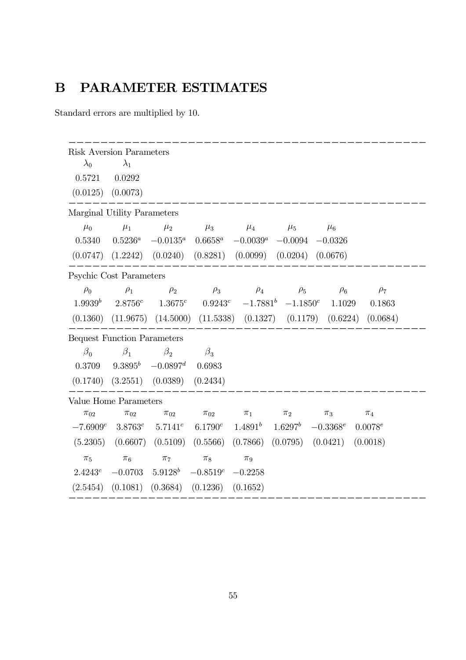## B PARAMETER ESTIMATES

Standard errors are multiplied by 10.

| <b>Risk Aversion Parameters</b>    |                                  |                                                                                 |                       |             |                       |            |              |
|------------------------------------|----------------------------------|---------------------------------------------------------------------------------|-----------------------|-------------|-----------------------|------------|--------------|
| $\lambda_0$                        | $\lambda_1$                      |                                                                                 |                       |             |                       |            |              |
| 0.5721                             | 0.0292                           |                                                                                 |                       |             |                       |            |              |
| $(0.0125)$ $(0.0073)$              |                                  |                                                                                 |                       |             |                       |            |              |
| Marginal Utility Parameters        |                                  |                                                                                 |                       |             |                       |            |              |
| $\mu_0$                            | $\mu_1$                          | $\mu_2$                                                                         | $\mu_3$               | $\mu_4$     | $\mu_5$               | $\mu_6$    |              |
| 0.5340                             | $0.5236^a$                       | $-0.0135^a$                                                                     | $0.6658^a$            | $-0.0039^a$ | $-0.0094$             | $-0.0326$  |              |
|                                    |                                  | $(0.0747)$ $(1.2242)$ $(0.0240)$ $(0.8281)$ $(0.0099)$ $(0.0204)$ $(0.0676)$    |                       |             |                       |            |              |
| <b>Psychic Cost Parameters</b>     |                                  |                                                                                 |                       |             |                       |            |              |
| $\rho_0$                           | $\rho_1$                         | $\rho_2$                                                                        | $\rho_3$              | $\rho_4$    | $\rho_5$              | $\rho_6$   | $\rho_7$     |
|                                    |                                  | $1.9939^b$ $2.8756^c$ $1.3675^c$ $0.9243^c$ $-1.7881^b$ $-1.1850^c$             |                       |             |                       | 1.1029     | 0.1863       |
|                                    |                                  | $(0.1360)$ $(11.9675)$ $(14.5000)$ $(11.5338)$ $(0.1327)$ $(0.1179)$ $(0.6224)$ |                       |             |                       |            | (0.0684)     |
| <b>Bequest Function Parameters</b> |                                  |                                                                                 |                       |             |                       |            |              |
| $\beta_0$                          | $\beta_1$                        | $\beta_2$                                                                       | $\beta_3$             |             |                       |            |              |
| 0.3709                             |                                  | $9.3895^b$ $-0.0897^d$                                                          | 0.6983                |             |                       |            |              |
|                                    | $(0.1740)$ $(3.2551)$ $(0.0389)$ |                                                                                 | (0.2434)              |             |                       |            |              |
| Value Home Parameters              |                                  |                                                                                 |                       |             |                       |            |              |
| $\pi_{02}$                         | $\pi_{02}$                       | $\pi_{02}$                                                                      | $\pi_{02}$            | $\pi_1$     | $\pi_2$               | $\pi_3$    | $\pi_4$      |
| $-7.6909c$                         | 3.8763c                          | $5.7141^{c}$                                                                    | $6.1790^{c}$          |             | $1.4891b$ $1.6297b$   | $-0.3368e$ | $0.0078^{e}$ |
| (5.2305)                           | (0.6607)                         | (0.5109)                                                                        | $(0.5566)$ $(0.7866)$ |             | $(0.0795)$ $(0.0421)$ |            | (0.0018)     |
| $\pi_5$                            | $\pi_6$                          | $\pi_7$                                                                         | $\pi_8$               | $\pi_9$     |                       |            |              |
| 2.4243c                            | $-0.0703$                        | $5.9128^b$                                                                      | $-0.8519c - 0.2258$   |             |                       |            |              |
| (2.5454)                           | (0.1081)                         | (0.3684)                                                                        | (0.1236)              | (0.1652)    |                       |            |              |